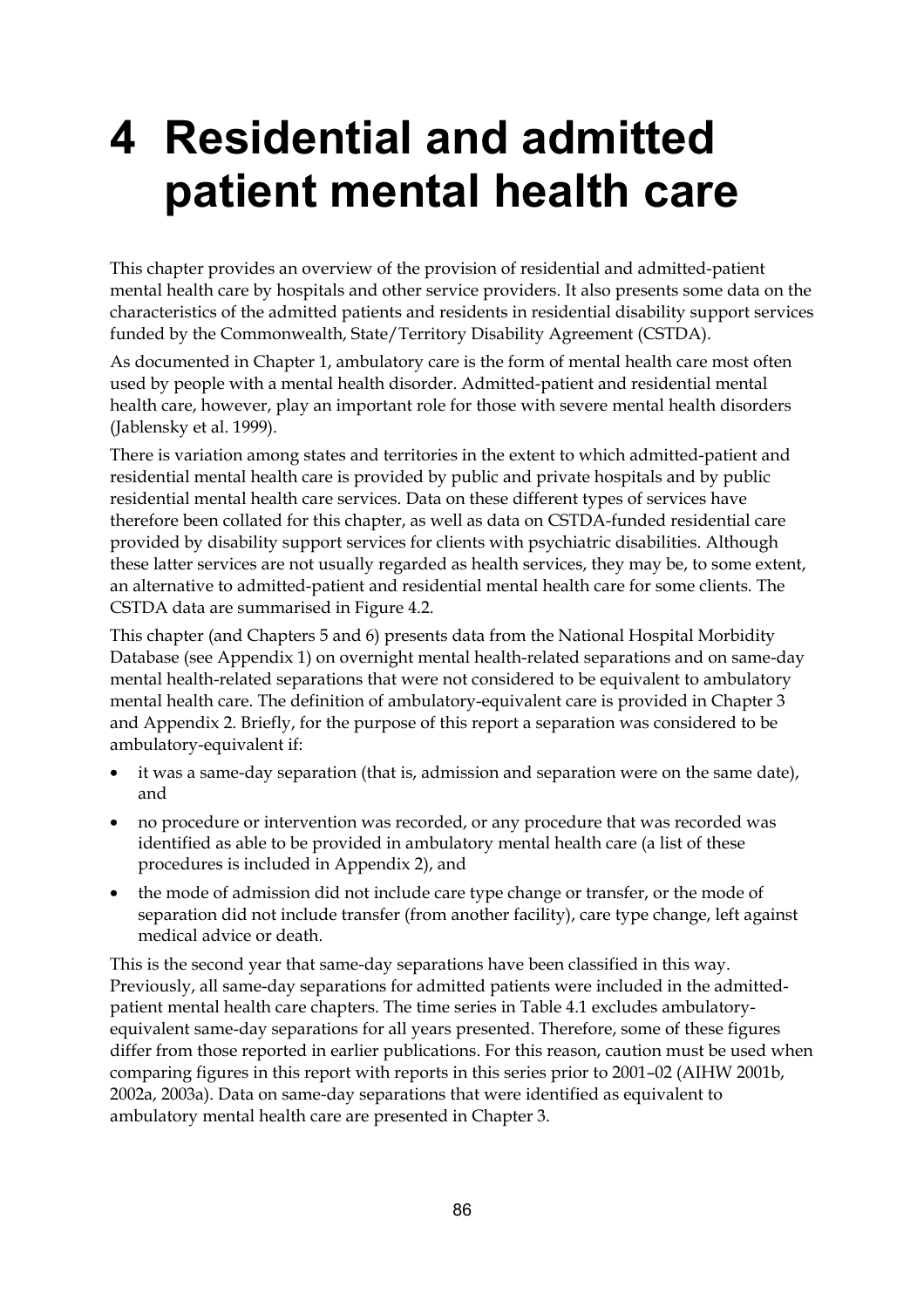# **4 Residential and admitted patient mental health care**

This chapter provides an overview of the provision of residential and admitted-patient mental health care by hospitals and other service providers. It also presents some data on the characteristics of the admitted patients and residents in residential disability support services funded by the Commonwealth, State/Territory Disability Agreement (CSTDA).

As documented in Chapter 1, ambulatory care is the form of mental health care most often used by people with a mental health disorder. Admitted-patient and residential mental health care, however, play an important role for those with severe mental health disorders (Jablensky et al. 1999).

There is variation among states and territories in the extent to which admitted-patient and residential mental health care is provided by public and private hospitals and by public residential mental health care services. Data on these different types of services have therefore been collated for this chapter, as well as data on CSTDA-funded residential care provided by disability support services for clients with psychiatric disabilities. Although these latter services are not usually regarded as health services, they may be, to some extent, an alternative to admitted-patient and residential mental health care for some clients. The CSTDA data are summarised in Figure 4.2.

This chapter (and Chapters 5 and 6) presents data from the National Hospital Morbidity Database (see Appendix 1) on overnight mental health-related separations and on same-day mental health-related separations that were not considered to be equivalent to ambulatory mental health care. The definition of ambulatory-equivalent care is provided in Chapter 3 and Appendix 2. Briefly, for the purpose of this report a separation was considered to be ambulatory-equivalent if:

- it was a same-day separation (that is, admission and separation were on the same date), and
- no procedure or intervention was recorded, or any procedure that was recorded was identified as able to be provided in ambulatory mental health care (a list of these procedures is included in Appendix 2), and
- the mode of admission did not include care type change or transfer, or the mode of separation did not include transfer (from another facility), care type change, left against medical advice or death.

This is the second year that same-day separations have been classified in this way. Previously, all same-day separations for admitted patients were included in the admittedpatient mental health care chapters. The time series in Table 4.1 excludes ambulatoryequivalent same-day separations for all years presented. Therefore, some of these figures differ from those reported in earlier publications. For this reason, caution must be used when comparing figures in this report with reports in this series prior to 2001–02 (AIHW 2001b, 2002a, 2003a). Data on same-day separations that were identified as equivalent to ambulatory mental health care are presented in Chapter 3.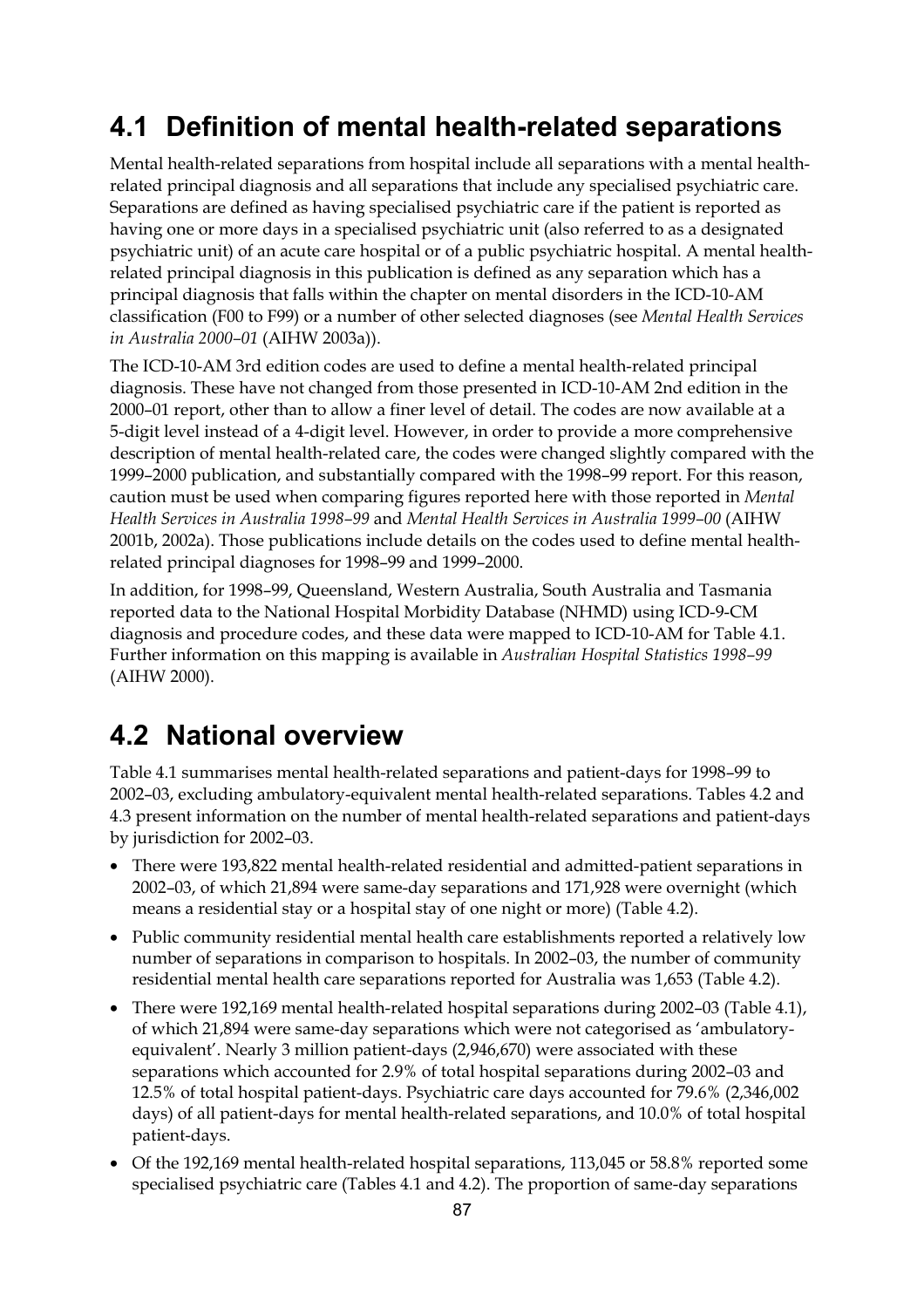# **4.1 Definition of mental health-related separations**

Mental health-related separations from hospital include all separations with a mental healthrelated principal diagnosis and all separations that include any specialised psychiatric care. Separations are defined as having specialised psychiatric care if the patient is reported as having one or more days in a specialised psychiatric unit (also referred to as a designated psychiatric unit) of an acute care hospital or of a public psychiatric hospital. A mental healthrelated principal diagnosis in this publication is defined as any separation which has a principal diagnosis that falls within the chapter on mental disorders in the ICD-10-AM classification (F00 to F99) or a number of other selected diagnoses (see *Mental Health Services in Australia 2000–01* (AIHW 2003a)).

The ICD-10-AM 3rd edition codes are used to define a mental health-related principal diagnosis. These have not changed from those presented in ICD-10-AM 2nd edition in the 2000–01 report, other than to allow a finer level of detail. The codes are now available at a 5-digit level instead of a 4-digit level. However, in order to provide a more comprehensive description of mental health-related care, the codes were changed slightly compared with the 1999–2000 publication, and substantially compared with the 1998–99 report. For this reason, caution must be used when comparing figures reported here with those reported in *Mental Health Services in Australia 1998–99* and *Mental Health Services in Australia 1999–00* (AIHW 2001b, 2002a). Those publications include details on the codes used to define mental healthrelated principal diagnoses for 1998–99 and 1999–2000.

In addition, for 1998–99, Queensland, Western Australia, South Australia and Tasmania reported data to the National Hospital Morbidity Database (NHMD) using ICD-9-CM diagnosis and procedure codes, and these data were mapped to ICD-10-AM for Table 4.1. Further information on this mapping is available in *Australian Hospital Statistics 1998–99*  (AIHW 2000).

# **4.2 National overview**

Table 4.1 summarises mental health-related separations and patient-days for 1998–99 to 2002–03, excluding ambulatory-equivalent mental health-related separations. Tables 4.2 and 4.3 present information on the number of mental health-related separations and patient-days by jurisdiction for 2002–03.

- There were 193,822 mental health-related residential and admitted-patient separations in 2002–03, of which 21,894 were same-day separations and 171,928 were overnight (which means a residential stay or a hospital stay of one night or more) (Table 4.2).
- Public community residential mental health care establishments reported a relatively low number of separations in comparison to hospitals. In 2002–03, the number of community residential mental health care separations reported for Australia was 1,653 (Table 4.2).
- There were 192,169 mental health-related hospital separations during 2002–03 (Table 4.1), of which 21,894 were same-day separations which were not categorised as 'ambulatoryequivalent'. Nearly 3 million patient-days (2,946,670) were associated with these separations which accounted for 2.9% of total hospital separations during 2002–03 and 12.5% of total hospital patient-days. Psychiatric care days accounted for 79.6% (2,346,002 days) of all patient-days for mental health-related separations, and 10.0% of total hospital patient-days.
- Of the 192,169 mental health-related hospital separations, 113,045 or 58.8% reported some specialised psychiatric care (Tables 4.1 and 4.2). The proportion of same-day separations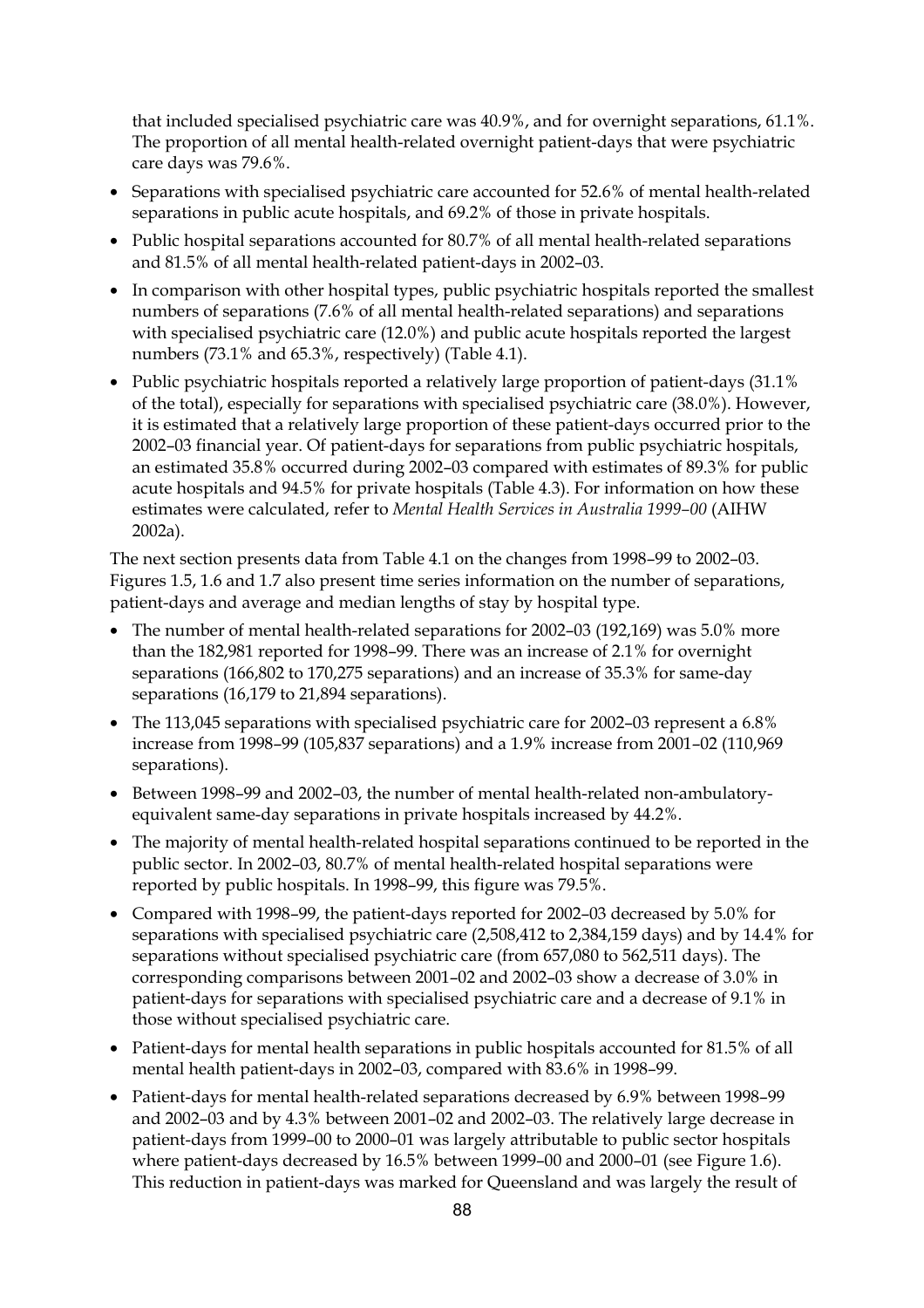that included specialised psychiatric care was 40.9%, and for overnight separations, 61.1%. The proportion of all mental health-related overnight patient-days that were psychiatric care days was 79.6%.

- Separations with specialised psychiatric care accounted for 52.6% of mental health-related separations in public acute hospitals, and 69.2% of those in private hospitals.
- Public hospital separations accounted for 80.7% of all mental health-related separations and 81.5% of all mental health-related patient-days in 2002–03.
- In comparison with other hospital types, public psychiatric hospitals reported the smallest numbers of separations (7.6% of all mental health-related separations) and separations with specialised psychiatric care (12.0%) and public acute hospitals reported the largest numbers (73.1% and 65.3%, respectively) (Table 4.1).
- Public psychiatric hospitals reported a relatively large proportion of patient-days (31.1% of the total), especially for separations with specialised psychiatric care (38.0%). However, it is estimated that a relatively large proportion of these patient-days occurred prior to the 2002–03 financial year. Of patient-days for separations from public psychiatric hospitals, an estimated 35.8% occurred during 2002–03 compared with estimates of 89.3% for public acute hospitals and 94.5% for private hospitals (Table 4.3). For information on how these estimates were calculated, refer to *Mental Health Services in Australia 1999–00* (AIHW 2002a).

The next section presents data from Table 4.1 on the changes from 1998–99 to 2002–03. Figures 1.5, 1.6 and 1.7 also present time series information on the number of separations, patient-days and average and median lengths of stay by hospital type.

- The number of mental health-related separations for 2002–03 (192,169) was 5.0% more than the 182,981 reported for 1998–99. There was an increase of 2.1% for overnight separations (166,802 to 170,275 separations) and an increase of 35.3% for same-day separations (16,179 to 21,894 separations).
- The 113,045 separations with specialised psychiatric care for 2002–03 represent a 6.8% increase from 1998–99 (105,837 separations) and a 1.9% increase from 2001–02 (110,969 separations).
- Between 1998–99 and 2002–03, the number of mental health-related non-ambulatoryequivalent same-day separations in private hospitals increased by 44.2%.
- The majority of mental health-related hospital separations continued to be reported in the public sector. In 2002–03, 80.7% of mental health-related hospital separations were reported by public hospitals. In 1998–99, this figure was 79.5%.
- Compared with 1998–99, the patient-days reported for 2002–03 decreased by 5.0% for separations with specialised psychiatric care (2,508,412 to 2,384,159 days) and by 14.4% for separations without specialised psychiatric care (from 657,080 to 562,511 days). The corresponding comparisons between 2001–02 and 2002–03 show a decrease of 3.0% in patient-days for separations with specialised psychiatric care and a decrease of 9.1% in those without specialised psychiatric care.
- Patient-days for mental health separations in public hospitals accounted for 81.5% of all mental health patient-days in 2002–03, compared with 83.6% in 1998–99.
- Patient-days for mental health-related separations decreased by 6.9% between 1998–99 and 2002–03 and by 4.3% between 2001–02 and 2002–03. The relatively large decrease in patient-days from 1999–00 to 2000–01 was largely attributable to public sector hospitals where patient-days decreased by 16.5% between 1999–00 and 2000–01 (see Figure 1.6). This reduction in patient-days was marked for Queensland and was largely the result of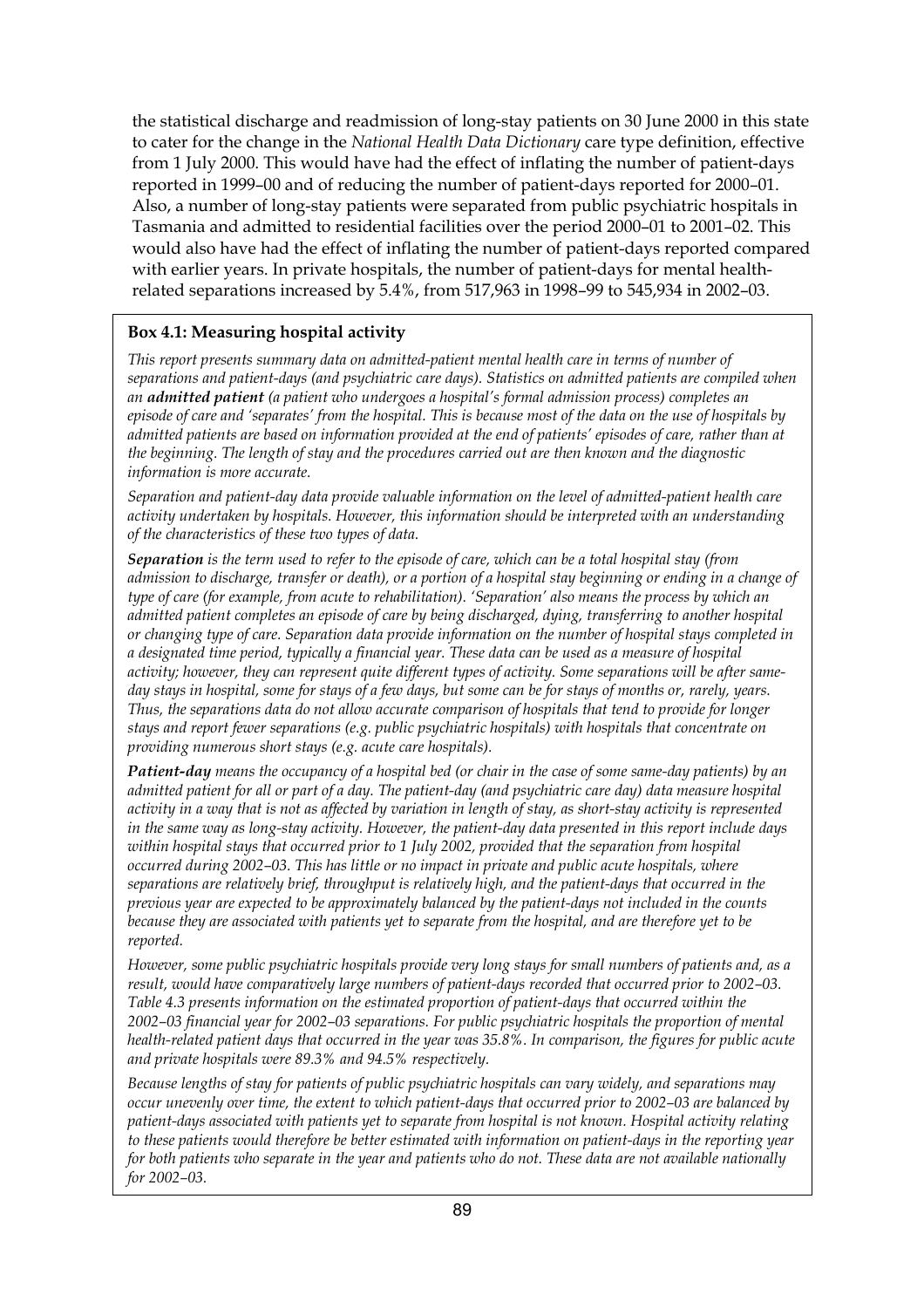the statistical discharge and readmission of long-stay patients on 30 June 2000 in this state to cater for the change in the *National Health Data Dictionary* care type definition, effective from 1 July 2000. This would have had the effect of inflating the number of patient-days reported in 1999–00 and of reducing the number of patient-days reported for 2000–01. Also, a number of long-stay patients were separated from public psychiatric hospitals in Tasmania and admitted to residential facilities over the period 2000–01 to 2001–02. This would also have had the effect of inflating the number of patient-days reported compared with earlier years. In private hospitals, the number of patient-days for mental healthrelated separations increased by 5.4%, from 517,963 in 1998–99 to 545,934 in 2002–03.

#### **Box 4.1: Measuring hospital activity**

*This report presents summary data on admitted-patient mental health care in terms of number of separations and patient-days (and psychiatric care days). Statistics on admitted patients are compiled when an admitted patient (a patient who undergoes a hospital's formal admission process) completes an episode of care and 'separates' from the hospital. This is because most of the data on the use of hospitals by admitted patients are based on information provided at the end of patients' episodes of care, rather than at the beginning. The length of stay and the procedures carried out are then known and the diagnostic information is more accurate.* 

*Separation and patient-day data provide valuable information on the level of admitted-patient health care activity undertaken by hospitals. However, this information should be interpreted with an understanding of the characteristics of these two types of data.* 

*Separation is the term used to refer to the episode of care, which can be a total hospital stay (from admission to discharge, transfer or death), or a portion of a hospital stay beginning or ending in a change of type of care (for example, from acute to rehabilitation). 'Separation' also means the process by which an admitted patient completes an episode of care by being discharged, dying, transferring to another hospital or changing type of care. Separation data provide information on the number of hospital stays completed in a designated time period, typically a financial year. These data can be used as a measure of hospital activity; however, they can represent quite different types of activity. Some separations will be after sameday stays in hospital, some for stays of a few days, but some can be for stays of months or, rarely, years. Thus, the separations data do not allow accurate comparison of hospitals that tend to provide for longer stays and report fewer separations (e.g. public psychiatric hospitals) with hospitals that concentrate on providing numerous short stays (e.g. acute care hospitals).* 

*Patient-day means the occupancy of a hospital bed (or chair in the case of some same-day patients) by an admitted patient for all or part of a day. The patient-day (and psychiatric care day) data measure hospital activity in a way that is not as affected by variation in length of stay, as short-stay activity is represented in the same way as long-stay activity. However, the patient-day data presented in this report include days within hospital stays that occurred prior to 1 July 2002, provided that the separation from hospital occurred during 2002–03. This has little or no impact in private and public acute hospitals, where separations are relatively brief, throughput is relatively high, and the patient-days that occurred in the previous year are expected to be approximately balanced by the patient-days not included in the counts because they are associated with patients yet to separate from the hospital, and are therefore yet to be reported.* 

*However, some public psychiatric hospitals provide very long stays for small numbers of patients and, as a result, would have comparatively large numbers of patient-days recorded that occurred prior to 2002–03. Table 4.3 presents information on the estimated proportion of patient-days that occurred within the 2002–03 financial year for 2002–03 separations. For public psychiatric hospitals the proportion of mental health-related patient days that occurred in the year was 35.8%. In comparison, the figures for public acute and private hospitals were 89.3% and 94.5% respectively.* 

*Because lengths of stay for patients of public psychiatric hospitals can vary widely, and separations may occur unevenly over time, the extent to which patient-days that occurred prior to 2002–03 are balanced by patient-days associated with patients yet to separate from hospital is not known. Hospital activity relating to these patients would therefore be better estimated with information on patient-days in the reporting year for both patients who separate in the year and patients who do not. These data are not available nationally for 2002–03.*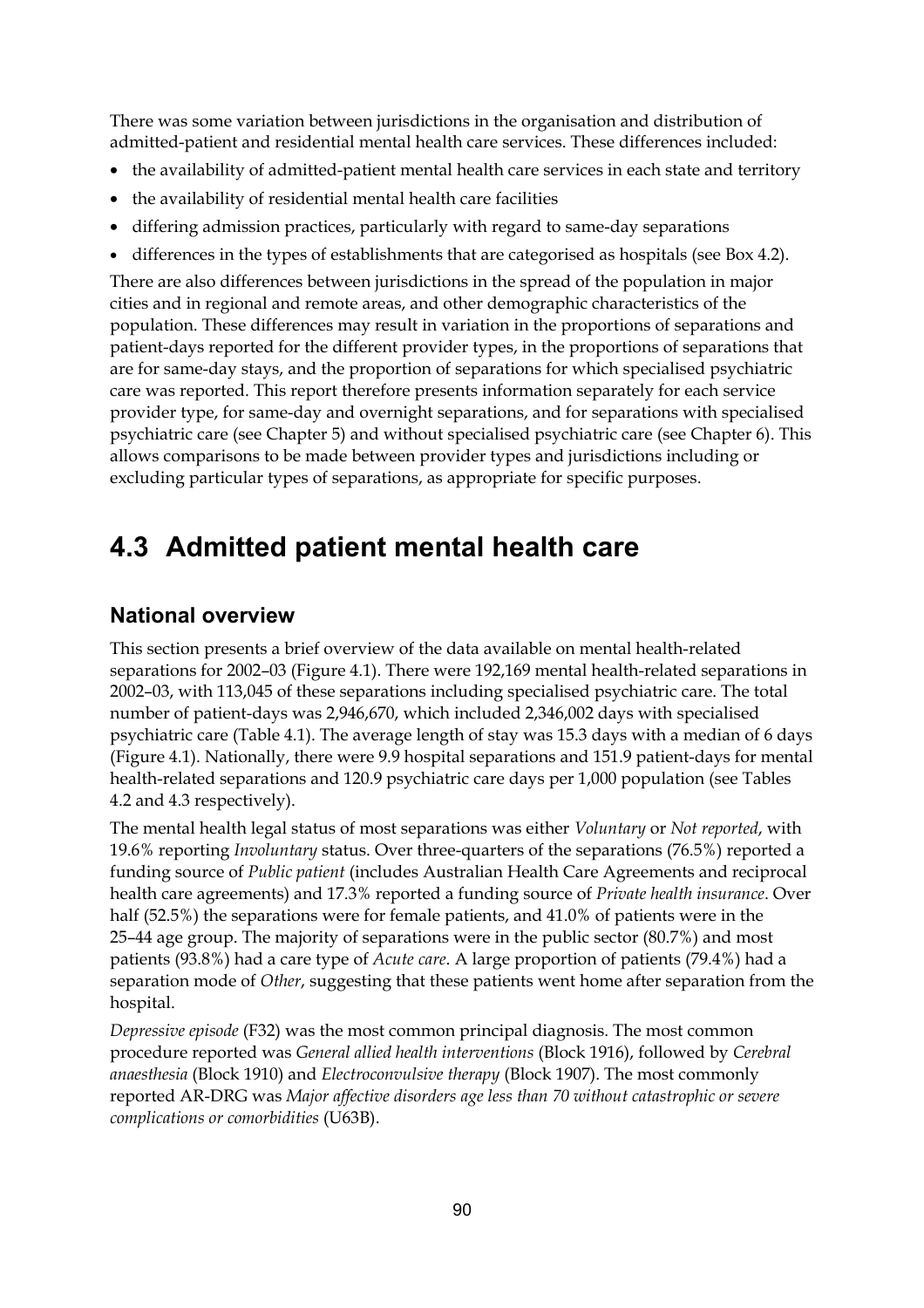There was some variation between jurisdictions in the organisation and distribution of admitted-patient and residential mental health care services. These differences included:

- the availability of admitted-patient mental health care services in each state and territory
- the availability of residential mental health care facilities
- differing admission practices, particularly with regard to same-day separations
- differences in the types of establishments that are categorised as hospitals (see Box 4.2).

There are also differences between jurisdictions in the spread of the population in major cities and in regional and remote areas, and other demographic characteristics of the population. These differences may result in variation in the proportions of separations and patient-days reported for the different provider types, in the proportions of separations that are for same-day stays, and the proportion of separations for which specialised psychiatric care was reported. This report therefore presents information separately for each service provider type, for same-day and overnight separations, and for separations with specialised psychiatric care (see Chapter 5) and without specialised psychiatric care (see Chapter 6). This allows comparisons to be made between provider types and jurisdictions including or excluding particular types of separations, as appropriate for specific purposes.

# **4.3 Admitted patient mental health care**

### **National overview**

This section presents a brief overview of the data available on mental health-related separations for 2002–03 (Figure 4.1). There were 192,169 mental health-related separations in 2002–03, with 113,045 of these separations including specialised psychiatric care. The total number of patient-days was 2,946,670, which included 2,346,002 days with specialised psychiatric care (Table 4.1). The average length of stay was 15.3 days with a median of 6 days (Figure 4.1). Nationally, there were 9.9 hospital separations and 151.9 patient-days for mental health-related separations and 120.9 psychiatric care days per 1,000 population (see Tables 4.2 and 4.3 respectively).

The mental health legal status of most separations was either *Voluntary* or *Not reported*, with 19.6% reporting *Involuntary* status. Over three-quarters of the separations (76.5%) reported a funding source of *Public patient* (includes Australian Health Care Agreements and reciprocal health care agreements) and 17.3% reported a funding source of *Private health insurance*. Over half (52.5%) the separations were for female patients, and 41.0% of patients were in the 25–44 age group. The majority of separations were in the public sector (80.7%) and most patients (93.8%) had a care type of *Acute care*. A large proportion of patients (79.4%) had a separation mode of *Other*, suggesting that these patients went home after separation from the hospital.

*Depressive episode* (F32) was the most common principal diagnosis. The most common procedure reported was *General allied health interventions* (Block 1916), followed by *Cerebral anaesthesia* (Block 1910) and *Electroconvulsive therapy* (Block 1907). The most commonly reported AR-DRG was *Major affective disorders age less than 70 without catastrophic or severe complications or comorbidities* (U63B).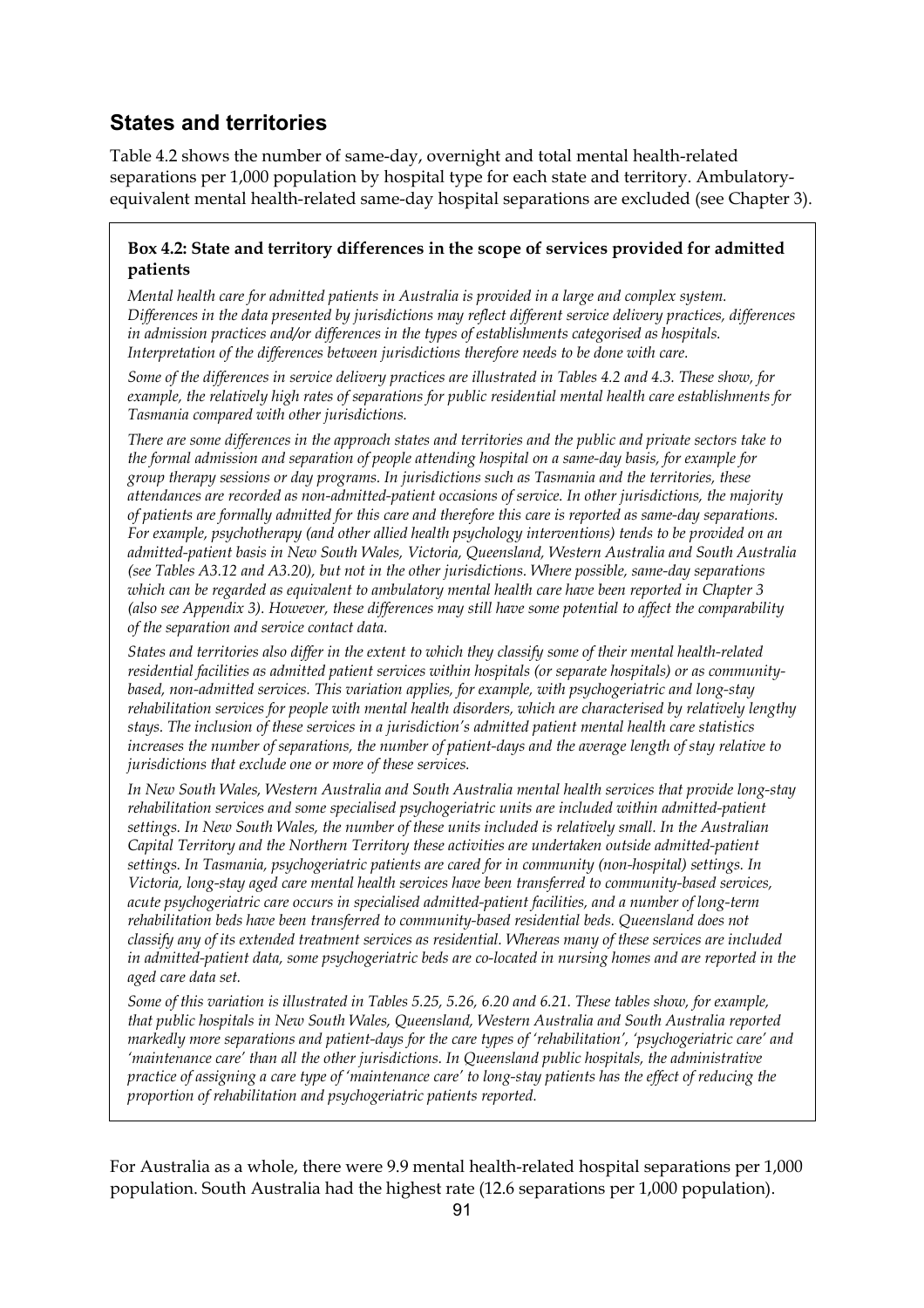## **States and territories**

Table 4.2 shows the number of same-day, overnight and total mental health-related separations per 1,000 population by hospital type for each state and territory. Ambulatoryequivalent mental health-related same-day hospital separations are excluded (see Chapter 3).

#### **Box 4.2: State and territory differences in the scope of services provided for admitted patients**

*Mental health care for admitted patients in Australia is provided in a large and complex system. Differences in the data presented by jurisdictions may reflect different service delivery practices, differences in admission practices and/or differences in the types of establishments categorised as hospitals. Interpretation of the differences between jurisdictions therefore needs to be done with care.* 

*Some of the differences in service delivery practices are illustrated in Tables 4.2 and 4.3. These show, for example, the relatively high rates of separations for public residential mental health care establishments for Tasmania compared with other jurisdictions.* 

*There are some differences in the approach states and territories and the public and private sectors take to the formal admission and separation of people attending hospital on a same-day basis, for example for group therapy sessions or day programs. In jurisdictions such as Tasmania and the territories, these attendances are recorded as non-admitted-patient occasions of service. In other jurisdictions, the majority of patients are formally admitted for this care and therefore this care is reported as same-day separations. For example, psychotherapy (and other allied health psychology interventions) tends to be provided on an admitted-patient basis in New South Wales, Victoria, Queensland, Western Australia and South Australia (see Tables A3.12 and A3.20), but not in the other jurisdictions. Where possible, same-day separations which can be regarded as equivalent to ambulatory mental health care have been reported in Chapter 3 (also see Appendix 3). However, these differences may still have some potential to affect the comparability of the separation and service contact data.* 

*States and territories also differ in the extent to which they classify some of their mental health-related residential facilities as admitted patient services within hospitals (or separate hospitals) or as communitybased, non-admitted services. This variation applies, for example, with psychogeriatric and long-stay rehabilitation services for people with mental health disorders, which are characterised by relatively lengthy stays. The inclusion of these services in a jurisdiction's admitted patient mental health care statistics increases the number of separations, the number of patient-days and the average length of stay relative to jurisdictions that exclude one or more of these services.* 

*In New South Wales, Western Australia and South Australia mental health services that provide long-stay rehabilitation services and some specialised psychogeriatric units are included within admitted-patient settings. In New South Wales, the number of these units included is relatively small. In the Australian Capital Territory and the Northern Territory these activities are undertaken outside admitted-patient settings. In Tasmania, psychogeriatric patients are cared for in community (non-hospital) settings. In Victoria, long-stay aged care mental health services have been transferred to community-based services, acute psychogeriatric care occurs in specialised admitted-patient facilities, and a number of long-term rehabilitation beds have been transferred to community-based residential beds. Queensland does not classify any of its extended treatment services as residential. Whereas many of these services are included in admitted-patient data, some psychogeriatric beds are co-located in nursing homes and are reported in the aged care data set.* 

*Some of this variation is illustrated in Tables 5.25, 5.26, 6.20 and 6.21. These tables show, for example, that public hospitals in New South Wales, Queensland, Western Australia and South Australia reported markedly more separations and patient-days for the care types of 'rehabilitation', 'psychogeriatric care' and 'maintenance care' than all the other jurisdictions. In Queensland public hospitals, the administrative practice of assigning a care type of 'maintenance care' to long-stay patients has the effect of reducing the proportion of rehabilitation and psychogeriatric patients reported.* 

For Australia as a whole, there were 9.9 mental health-related hospital separations per 1,000 population. South Australia had the highest rate (12.6 separations per 1,000 population).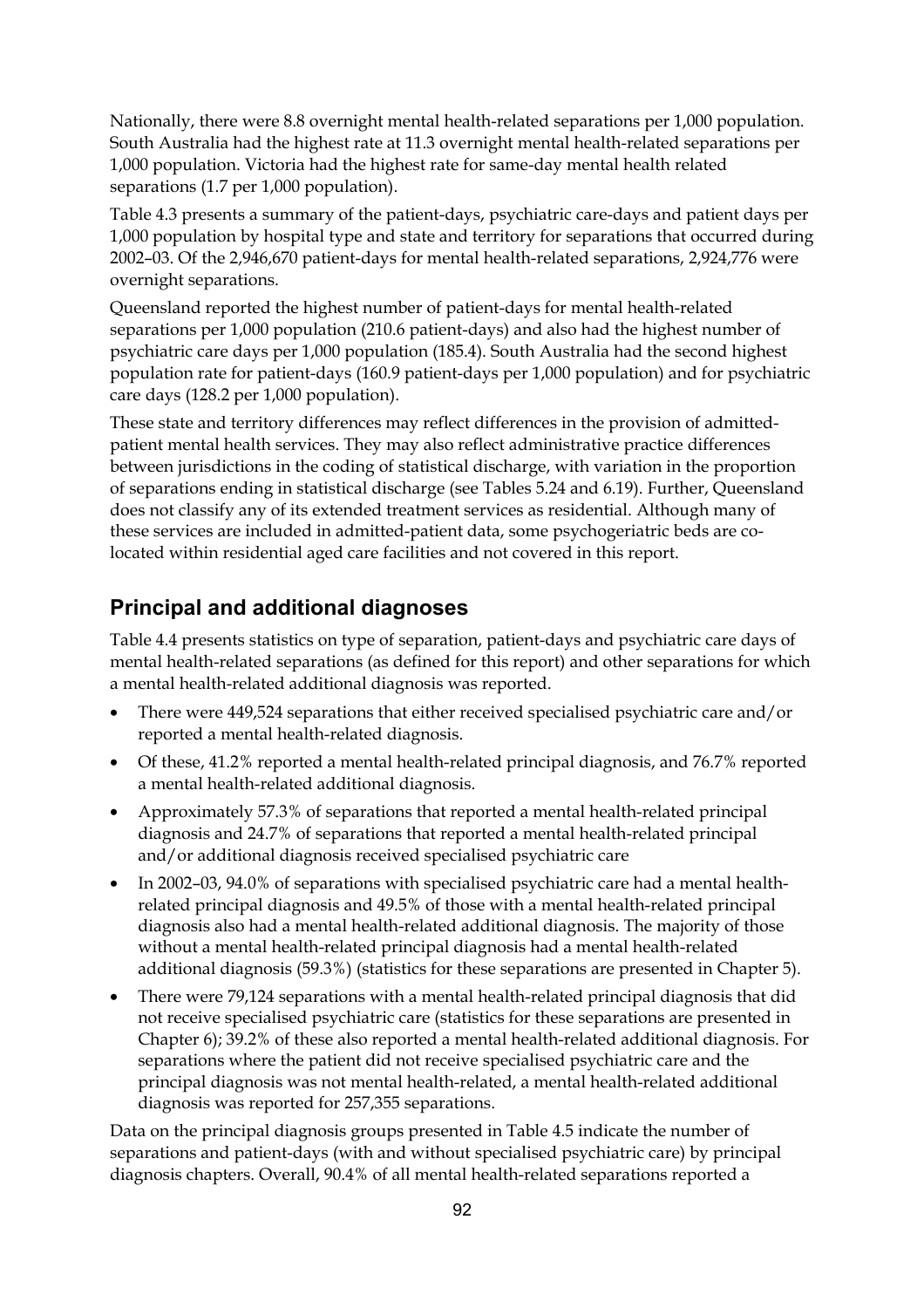Nationally, there were 8.8 overnight mental health-related separations per 1,000 population. South Australia had the highest rate at 11.3 overnight mental health-related separations per 1,000 population. Victoria had the highest rate for same-day mental health related separations (1.7 per 1,000 population).

Table 4.3 presents a summary of the patient-days, psychiatric care-days and patient days per 1,000 population by hospital type and state and territory for separations that occurred during 2002–03. Of the 2,946,670 patient-days for mental health-related separations, 2,924,776 were overnight separations.

Queensland reported the highest number of patient-days for mental health-related separations per 1,000 population (210.6 patient-days) and also had the highest number of psychiatric care days per 1,000 population (185.4). South Australia had the second highest population rate for patient-days (160.9 patient-days per 1,000 population) and for psychiatric care days (128.2 per 1,000 population).

These state and territory differences may reflect differences in the provision of admittedpatient mental health services. They may also reflect administrative practice differences between jurisdictions in the coding of statistical discharge, with variation in the proportion of separations ending in statistical discharge (see Tables 5.24 and 6.19). Further, Queensland does not classify any of its extended treatment services as residential. Although many of these services are included in admitted-patient data, some psychogeriatric beds are colocated within residential aged care facilities and not covered in this report.

# **Principal and additional diagnoses**

Table 4.4 presents statistics on type of separation, patient-days and psychiatric care days of mental health-related separations (as defined for this report) and other separations for which a mental health-related additional diagnosis was reported.

- There were 449,524 separations that either received specialised psychiatric care and/or reported a mental health-related diagnosis.
- Of these, 41.2% reported a mental health-related principal diagnosis, and 76.7% reported a mental health-related additional diagnosis.
- Approximately 57.3% of separations that reported a mental health-related principal diagnosis and 24.7% of separations that reported a mental health-related principal and/or additional diagnosis received specialised psychiatric care
- In 2002–03, 94.0% of separations with specialised psychiatric care had a mental healthrelated principal diagnosis and 49.5% of those with a mental health-related principal diagnosis also had a mental health-related additional diagnosis. The majority of those without a mental health-related principal diagnosis had a mental health-related additional diagnosis (59.3%) (statistics for these separations are presented in Chapter 5).
- There were 79,124 separations with a mental health-related principal diagnosis that did not receive specialised psychiatric care (statistics for these separations are presented in Chapter 6); 39.2% of these also reported a mental health-related additional diagnosis. For separations where the patient did not receive specialised psychiatric care and the principal diagnosis was not mental health-related, a mental health-related additional diagnosis was reported for 257,355 separations.

Data on the principal diagnosis groups presented in Table 4.5 indicate the number of separations and patient-days (with and without specialised psychiatric care) by principal diagnosis chapters. Overall, 90.4% of all mental health-related separations reported a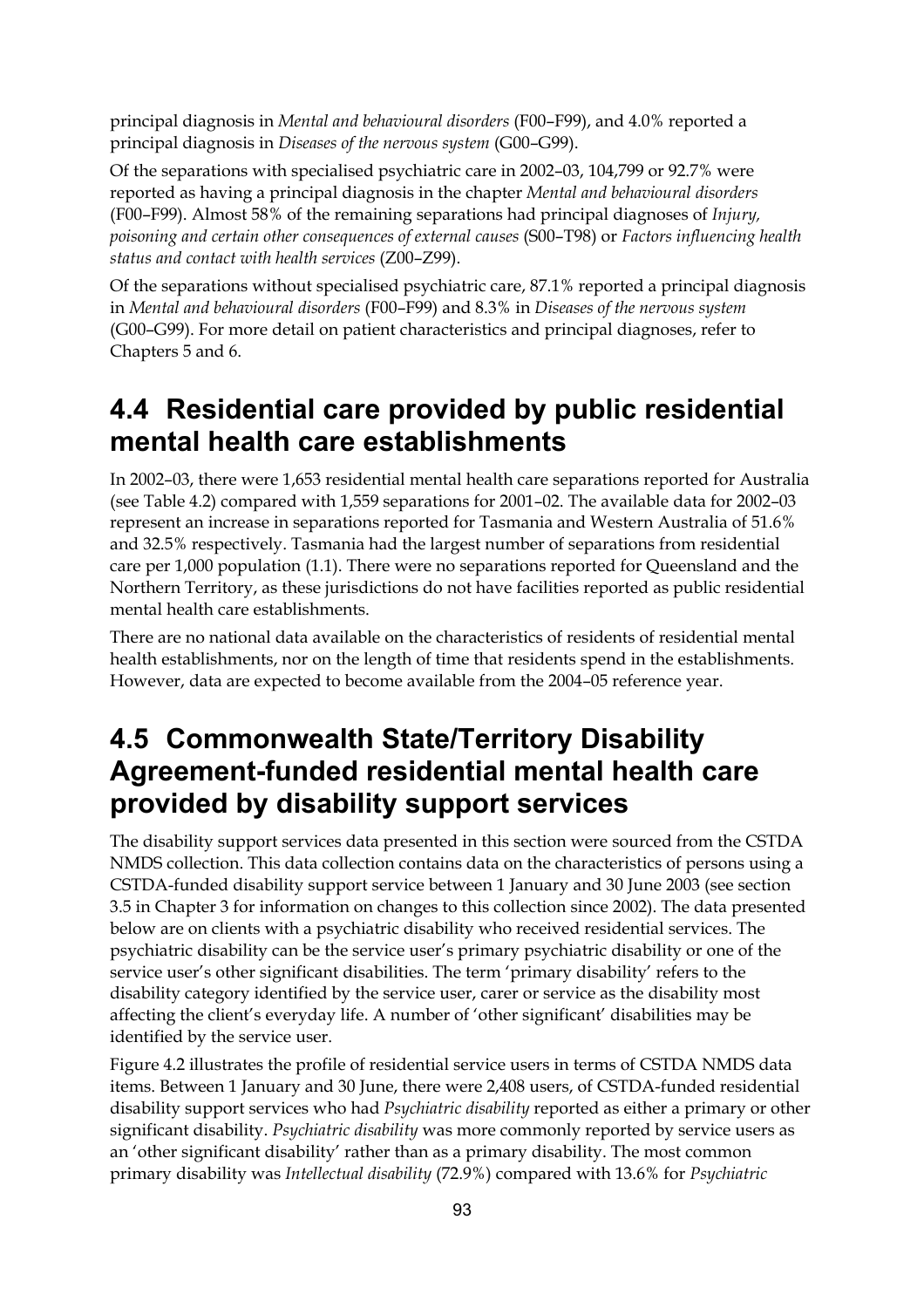principal diagnosis in *Mental and behavioural disorders* (F00–F99), and 4.0% reported a principal diagnosis in *Diseases of the nervous system* (G00–G99).

Of the separations with specialised psychiatric care in 2002–03, 104,799 or 92.7% were reported as having a principal diagnosis in the chapter *Mental and behavioural disorders*  (F00–F99). Almost 58% of the remaining separations had principal diagnoses of *Injury, poisoning and certain other consequences of external causes* (S00–T98) or *Factors influencing health status and contact with health services* (Z00–Z99).

Of the separations without specialised psychiatric care, 87.1% reported a principal diagnosis in *Mental and behavioural disorders* (F00–F99) and 8.3% in *Diseases of the nervous system* (G00–G99). For more detail on patient characteristics and principal diagnoses, refer to Chapters 5 and 6.

# **4.4 Residential care provided by public residential mental health care establishments**

In 2002–03, there were 1,653 residential mental health care separations reported for Australia (see Table 4.2) compared with 1,559 separations for 2001–02. The available data for 2002–03 represent an increase in separations reported for Tasmania and Western Australia of 51.6% and 32.5% respectively. Tasmania had the largest number of separations from residential care per 1,000 population (1.1). There were no separations reported for Queensland and the Northern Territory, as these jurisdictions do not have facilities reported as public residential mental health care establishments.

There are no national data available on the characteristics of residents of residential mental health establishments, nor on the length of time that residents spend in the establishments. However, data are expected to become available from the 2004–05 reference year.

# **4.5 Commonwealth State/Territory Disability Agreement-funded residential mental health care provided by disability support services**

The disability support services data presented in this section were sourced from the CSTDA NMDS collection. This data collection contains data on the characteristics of persons using a CSTDA-funded disability support service between 1 January and 30 June 2003 (see section 3.5 in Chapter 3 for information on changes to this collection since 2002). The data presented below are on clients with a psychiatric disability who received residential services. The psychiatric disability can be the service user's primary psychiatric disability or one of the service user's other significant disabilities. The term 'primary disability' refers to the disability category identified by the service user, carer or service as the disability most affecting the client's everyday life. A number of 'other significant' disabilities may be identified by the service user.

Figure 4.2 illustrates the profile of residential service users in terms of CSTDA NMDS data items. Between 1 January and 30 June, there were 2,408 users, of CSTDA-funded residential disability support services who had *Psychiatric disability* reported as either a primary or other significant disability. *Psychiatric disability* was more commonly reported by service users as an 'other significant disability' rather than as a primary disability. The most common primary disability was *Intellectual disability* (72.9%) compared with 13.6% for *Psychiatric*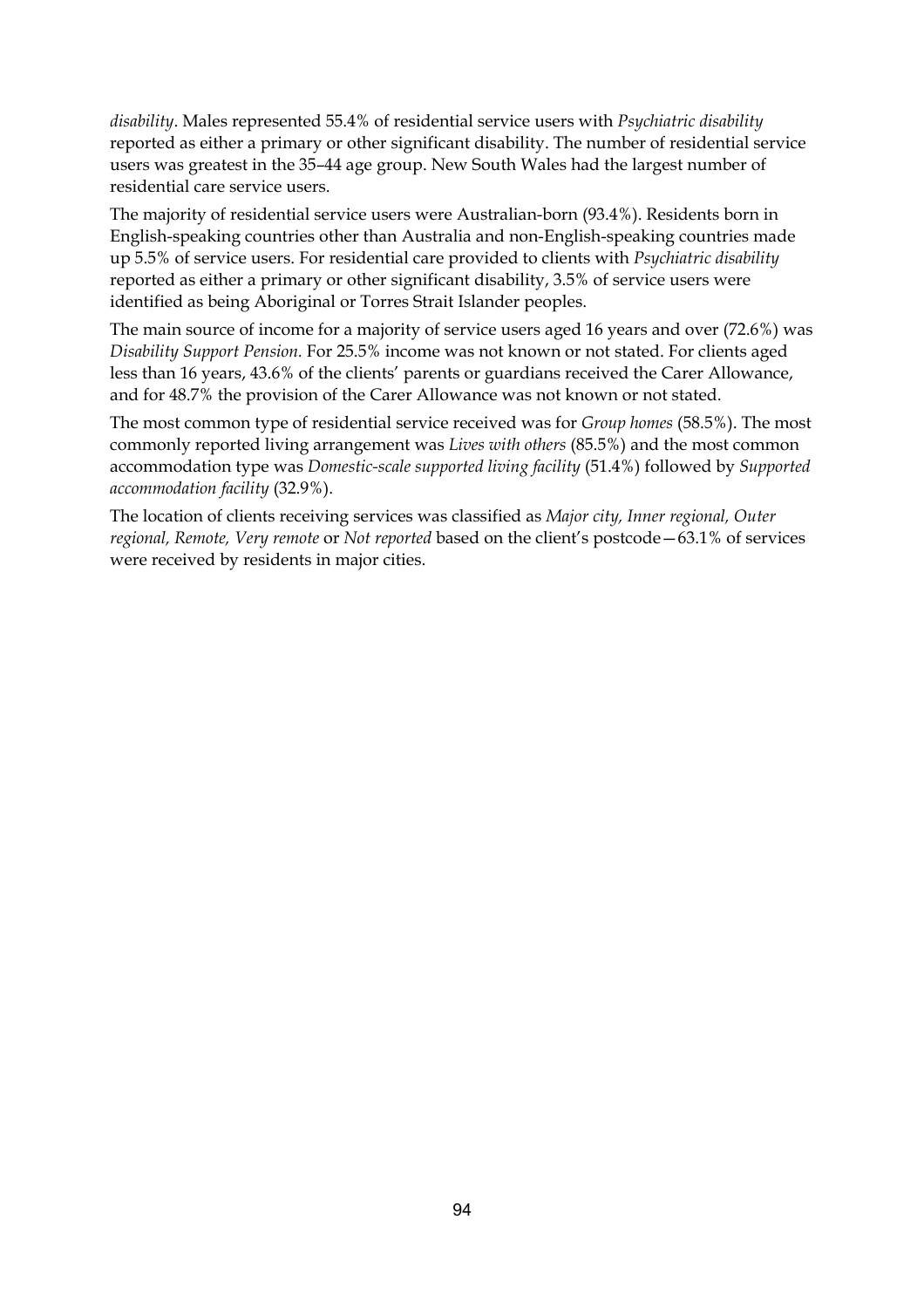*disability*. Males represented 55.4% of residential service users with *Psychiatric disability* reported as either a primary or other significant disability. The number of residential service users was greatest in the 35–44 age group. New South Wales had the largest number of residential care service users.

The majority of residential service users were Australian-born (93.4%). Residents born in English-speaking countries other than Australia and non-English-speaking countries made up 5.5% of service users. For residential care provided to clients with *Psychiatric disability* reported as either a primary or other significant disability, 3.5% of service users were identified as being Aboriginal or Torres Strait Islander peoples.

The main source of income for a majority of service users aged 16 years and over (72.6%) was *Disability Support Pension.* For 25.5% income was not known or not stated. For clients aged less than 16 years, 43.6% of the clients' parents or guardians received the Carer Allowance, and for 48.7% the provision of the Carer Allowance was not known or not stated.

The most common type of residential service received was for *Group homes* (58.5%). The most commonly reported living arrangement was *Lives with others* (85.5%) and the most common accommodation type was *Domestic-scale supported living facility* (51.4%) followed by *Supported accommodation facility* (32.9%).

The location of clients receiving services was classified as *Major city, Inner regional, Outer regional, Remote, Very remote* or *Not reported* based on the client's postcode—63.1% of services were received by residents in major cities.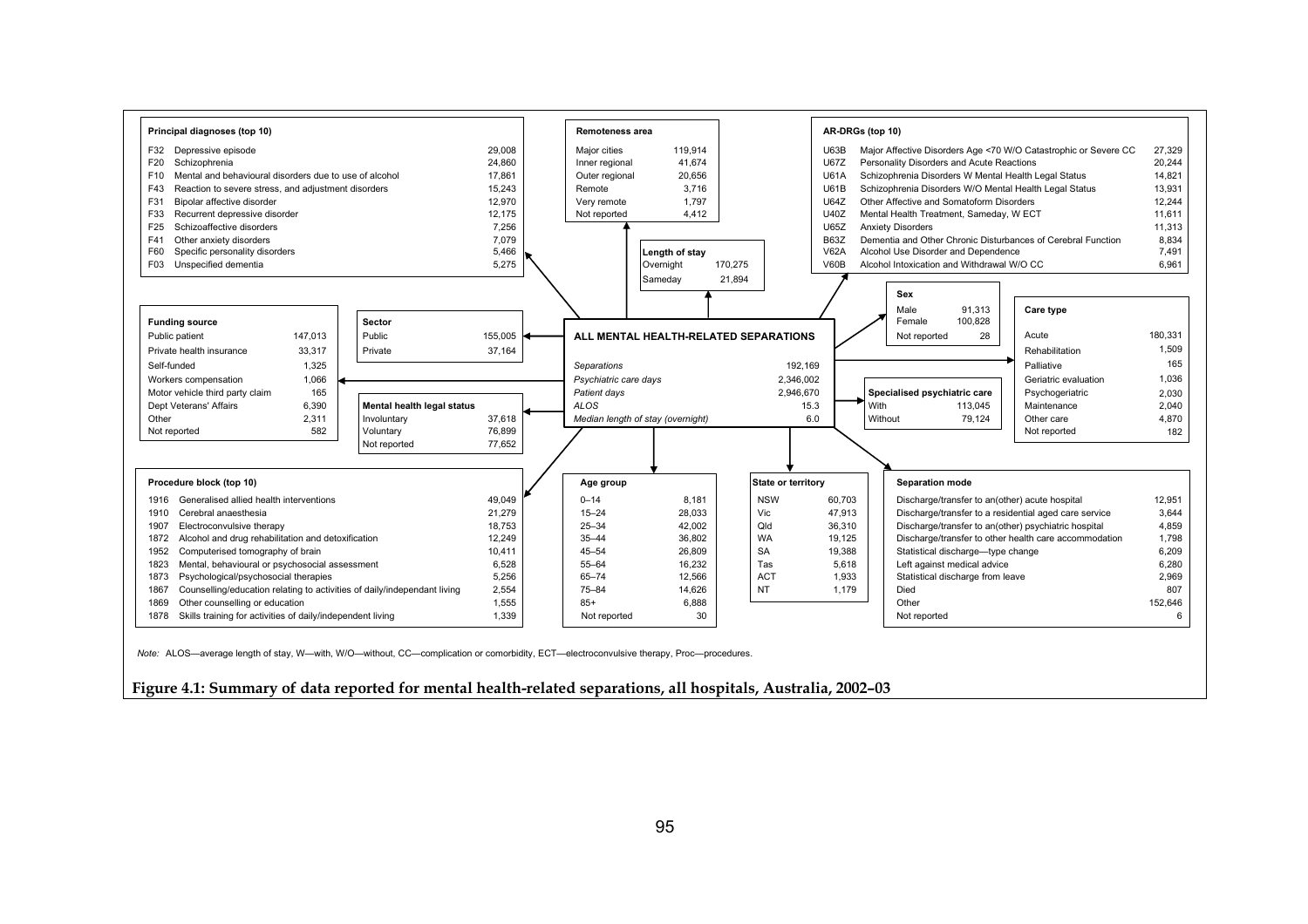

**Figure 4.1: Summary of data reported for mental health-related separations, all hospitals, Australia, 2002–03**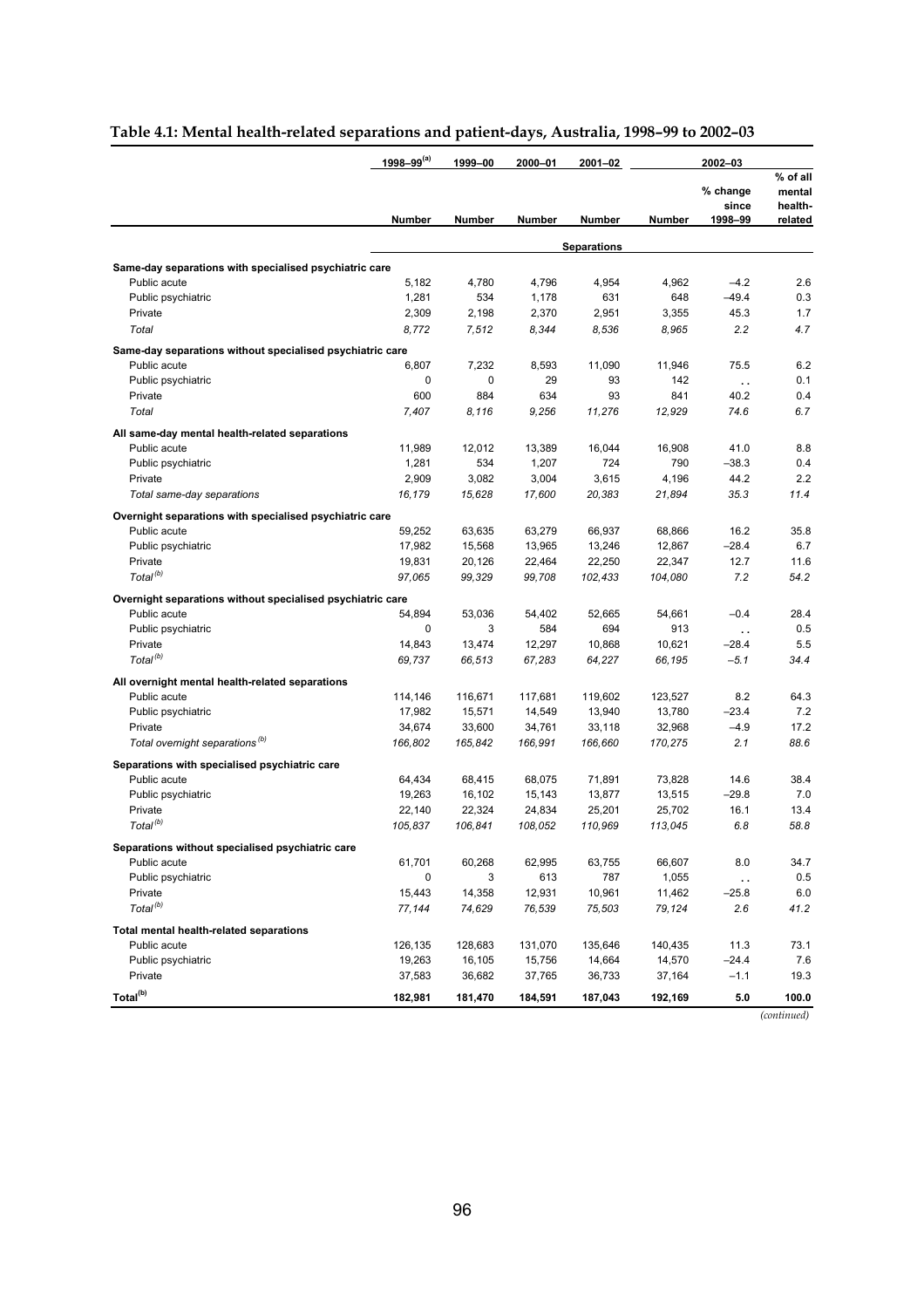|                                                            | 1998-99 <sup>(a)</sup> | 1999-00       | 2000-01 | 2001-02            |         | 2002-03                      |                                          |
|------------------------------------------------------------|------------------------|---------------|---------|--------------------|---------|------------------------------|------------------------------------------|
|                                                            | Number                 | <b>Number</b> | Number  | Number             | Number  | % change<br>since<br>1998-99 | % of all<br>mental<br>health-<br>related |
|                                                            |                        |               |         | <b>Separations</b> |         |                              |                                          |
| Same-day separations with specialised psychiatric care     |                        |               |         |                    |         |                              |                                          |
| Public acute                                               | 5,182                  | 4,780         | 4,796   | 4,954              | 4,962   | $-4.2$                       | 2.6                                      |
| Public psychiatric                                         | 1,281                  | 534           | 1,178   | 631                | 648     | $-49.4$                      | 0.3                                      |
| Private                                                    | 2,309                  | 2,198         | 2,370   | 2,951              | 3,355   | 45.3                         | 1.7                                      |
| Total                                                      | 8,772                  | 7,512         | 8,344   | 8,536              | 8,965   | 2.2                          | 4.7                                      |
| Same-day separations without specialised psychiatric care  |                        |               |         |                    |         |                              |                                          |
| Public acute                                               | 6,807                  | 7,232         | 8,593   | 11.090             | 11,946  | 75.5                         | 6.2                                      |
| Public psychiatric                                         | 0                      | 0             | 29      | 93                 | 142     | $\ddot{\phantom{a}}$         | 0.1                                      |
| Private                                                    | 600                    | 884           | 634     | 93                 | 841     | 40.2                         | 0.4                                      |
| Total                                                      | 7,407                  | 8.116         | 9,256   | 11,276             | 12,929  | 74.6                         | 6.7                                      |
| All same-day mental health-related separations             |                        |               |         |                    |         |                              |                                          |
| Public acute                                               | 11,989                 | 12,012        | 13,389  | 16,044             | 16,908  | 41.0                         | 8.8                                      |
| Public psychiatric                                         | 1,281                  | 534           | 1,207   | 724                | 790     | $-38.3$                      | 0.4                                      |
| Private                                                    | 2,909                  | 3,082         | 3,004   | 3,615              | 4,196   | 44.2                         | 2.2                                      |
| Total same-day separations                                 | 16,179                 | 15,628        | 17,600  | 20,383             | 21,894  | 35.3                         | 11.4                                     |
| Overnight separations with specialised psychiatric care    |                        |               |         |                    |         |                              |                                          |
| Public acute                                               | 59,252                 | 63,635        | 63,279  | 66,937             | 68,866  | 16.2                         | 35.8                                     |
| Public psychiatric                                         | 17,982                 | 15,568        | 13,965  | 13,246             | 12,867  | $-28.4$                      | 6.7                                      |
| Private                                                    | 19,831                 | 20,126        | 22,464  | 22,250             | 22,347  | 12.7                         | 11.6                                     |
| Total <sup>(b)</sup>                                       | 97,065                 | 99,329        | 99,708  | 102,433            | 104,080 | 7.2                          | 54.2                                     |
| Overnight separations without specialised psychiatric care |                        |               |         |                    |         |                              |                                          |
| Public acute                                               | 54,894                 | 53,036        | 54,402  | 52,665             | 54,661  | $-0.4$                       | 28.4                                     |
| Public psychiatric                                         | 0                      | 3             | 584     | 694                | 913     | $\ddot{\phantom{a}}$         | 0.5                                      |
| Private                                                    | 14,843                 | 13,474        | 12,297  | 10,868             | 10,621  | $-28.4$                      | 5.5                                      |
| Total <sup>(b)</sup>                                       | 69,737                 | 66,513        | 67,283  | 64,227             | 66,195  | $-5.1$                       | 34.4                                     |
| All overnight mental health-related separations            |                        |               |         |                    |         |                              |                                          |
| Public acute                                               | 114,146                | 116,671       | 117,681 | 119,602            | 123,527 | 8.2                          | 64.3                                     |
| Public psychiatric                                         | 17,982                 | 15,571        | 14,549  | 13,940             | 13,780  | $-23.4$                      | 7.2                                      |
| Private                                                    | 34,674                 | 33,600        | 34,761  | 33,118             | 32,968  | $-4.9$                       | 17.2                                     |
| Total overnight separations <sup>(b)</sup>                 | 166,802                | 165,842       | 166,991 | 166,660            | 170,275 | 2.1                          | 88.6                                     |
| Separations with specialised psychiatric care              |                        |               |         |                    |         |                              |                                          |
| Public acute                                               | 64,434                 | 68,415        | 68,075  | 71,891             | 73,828  | 14.6                         | 38.4                                     |
| Public psychiatric                                         | 19,263                 | 16,102        | 15,143  | 13,877             | 13,515  | $-29.8$                      | 7.0                                      |
| Private                                                    | 22,140                 | 22,324        | 24,834  | 25,201             | 25,702  | 16.1                         | 13.4                                     |
| Total <sup>(b)</sup>                                       | 105,837                | 106,841       | 108,052 | 110,969            | 113,045 | 6.8                          | 58.8                                     |
| Separations without specialised psychiatric care           |                        |               |         |                    |         |                              |                                          |
| Public acute                                               | 61,701                 | 60,268        | 62,995  | 63,755             | 66,607  | 8.0                          | 34.7                                     |
| Public psychiatric                                         | 0                      | 3             | 613     | 787                | 1,055   | $\ddot{\phantom{0}}$         | 0.5                                      |
| Private                                                    | 15,443                 | 14,358        | 12,931  | 10,961             | 11,462  | $-25.8$                      | 6.0                                      |
| Total <sup>(b)</sup>                                       | 77,144                 | 74,629        | 76,539  | 75,503             | 79,124  | 2.6                          | 41.2                                     |
| Total mental health-related separations                    |                        |               |         |                    |         |                              |                                          |
| Public acute                                               | 126,135                | 128,683       | 131,070 | 135,646            | 140,435 | 11.3                         | 73.1                                     |
| Public psychiatric                                         | 19,263                 | 16,105        | 15,756  | 14,664             | 14,570  | $-24.4$                      | 7.6                                      |
| Private                                                    | 37,583                 | 36,682        | 37,765  | 36,733             | 37,164  | $-1.1$                       | 19.3                                     |
| Total <sup>(b)</sup>                                       | 182,981                | 181,470       | 184,591 | 187,043            | 192,169 | 5.0                          | 100.0                                    |

#### **Table 4.1: Mental health-related separations and patient-days, Australia, 1998–99 to 2002–03**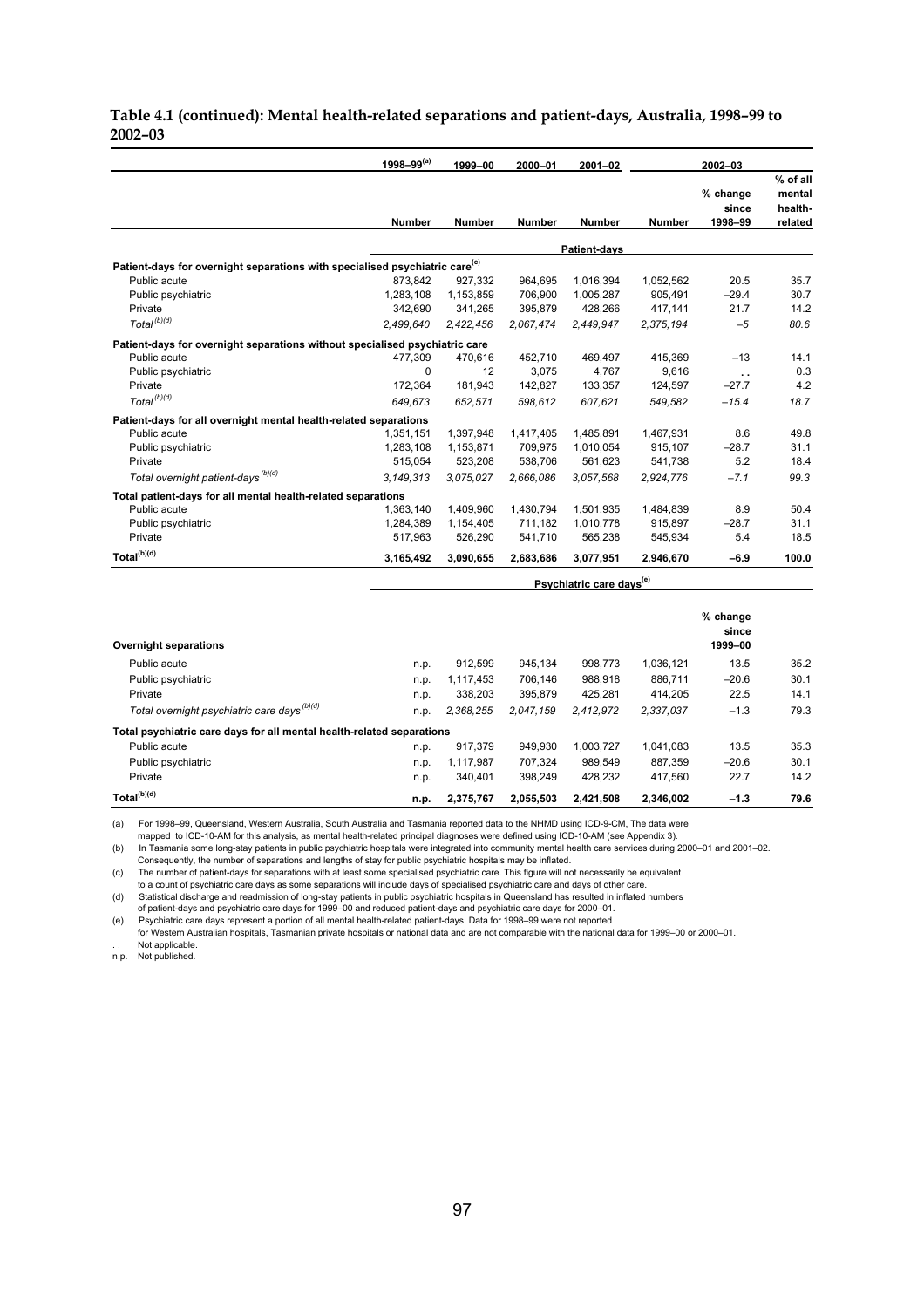#### **Table 4.1 (continued): Mental health-related separations and patient-days, Australia, 1998–99 to 2002–03**

|                                                                                         | $1998 - 99^{(a)}$ | 1999-00       | 2000-01       | 2001-02                              |               |                              |                                          |
|-----------------------------------------------------------------------------------------|-------------------|---------------|---------------|--------------------------------------|---------------|------------------------------|------------------------------------------|
|                                                                                         | Number            | <b>Number</b> | <b>Number</b> | <b>Number</b>                        | <b>Number</b> | % change<br>since<br>1998-99 | % of all<br>mental<br>health-<br>related |
|                                                                                         |                   |               |               | Patient-days                         |               |                              |                                          |
| Patient-days for overnight separations with specialised psychiatric care <sup>(c)</sup> |                   |               |               |                                      |               |                              |                                          |
| Public acute                                                                            | 873,842           | 927,332       | 964,695       | 1,016,394                            | 1,052,562     | 20.5                         | 35.7                                     |
| Public psychiatric                                                                      | 1,283,108         | 1,153,859     | 706,900       | 1,005,287                            | 905,491       | $-29.4$                      | 30.7                                     |
| Private                                                                                 | 342,690           | 341,265       | 395,879       | 428,266                              | 417,141       | 21.7                         | 14.2                                     |
| $Total^{(b)(d)}$                                                                        | 2,499,640         | 2,422,456     | 2,067,474     | 2,449,947                            | 2,375,194     | $-5$                         | 80.6                                     |
| Patient-days for overnight separations without specialised psychiatric care             |                   |               |               |                                      |               |                              |                                          |
| Public acute                                                                            | 477,309           | 470,616       | 452,710       | 469,497                              | 415,369       | $-13$                        | 14.1                                     |
| Public psychiatric                                                                      | 0                 | 12            | 3,075         | 4,767                                | 9,616         | $\ddot{\phantom{a}}$         | 0.3                                      |
| Private                                                                                 | 172,364           | 181,943       | 142,827       | 133,357                              | 124,597       | $-27.7$                      | 4.2                                      |
| Total <sup>(b)(d)</sup>                                                                 | 649.673           | 652,571       | 598,612       | 607,621                              | 549,582       | $-15.4$                      | 18.7                                     |
| Patient-days for all overnight mental health-related separations                        |                   |               |               |                                      |               |                              |                                          |
| Public acute                                                                            | 1,351,151         | 1,397,948     | 1,417,405     | 1,485,891                            | 1,467,931     | 8.6                          | 49.8                                     |
| Public psychiatric                                                                      | 1,283,108         | 1,153,871     | 709,975       | 1,010,054                            | 915,107       | $-28.7$                      | 31.1                                     |
| Private                                                                                 | 515,054           | 523,208       | 538,706       | 561,623                              | 541,738       | 5.2                          | 18.4                                     |
| Total overnight patient-days <sup>(b)(d)</sup>                                          | 3,149,313         | 3.075.027     | 2,666,086     | 3.057.568                            | 2,924,776     | $-7.1$                       | 99.3                                     |
| Total patient-days for all mental health-related separations                            |                   |               |               |                                      |               |                              |                                          |
| Public acute                                                                            | 1,363,140         | 1,409,960     | 1,430,794     | 1,501,935                            | 1,484,839     | 8.9                          | 50.4                                     |
| Public psychiatric                                                                      | 1,284,389         | 1,154,405     | 711,182       | 1,010,778                            | 915,897       | $-28.7$                      | 31.1                                     |
| Private                                                                                 | 517,963           | 526,290       | 541,710       | 565,238                              | 545,934       | 5.4                          | 18.5                                     |
| $\mathsf{Total}^{(\mathsf{b})(\mathsf{d})}$                                             | 3,165,492         | 3,090,655     | 2,683,686     | 3,077,951                            | 2,946,670     | $-6.9$                       | 100.0                                    |
|                                                                                         |                   |               |               | Psychiatric care days <sup>(e)</sup> |               |                              |                                          |
| <b>Overnight separations</b>                                                            |                   |               |               |                                      |               | % change<br>since<br>1999-00 |                                          |
| Public acute                                                                            | n.p.              | 912,599       | 945,134       | 998,773                              | 1,036,121     | 13.5                         | 35.2                                     |
| Public psychiatric                                                                      | n.p.              | 1,117,453     | 706,146       | 988,918                              | 886,711       | $-20.6$                      | 30.1                                     |
| Private                                                                                 | n.p.              | 338,203       | 395,879       | 425.281                              | 414.205       | 22.5                         | 14.1                                     |

(a) For 1998–99, Queensland, Western Australia, South Australia and Tasmania reported data to the NHMD using ICD-9-CM, The data were

mapped to ICD-10-AM for this analysis, as mental health-related principal diagnoses were defined using ICD-10-AM (see Appendix 3).

(b) In Tasmania some long-stay patients in public psychiatric hospitals were integrated into community mental health care services during 2000–01 and 2001–02.<br>Consequently, the number of separations and lengths of stay for

*Total overnight psychiatric care days (b)(d)* n.p. *2,368,255 2,047,159 2,412,972 2,337,037* –1.3 79.3

Public acute n.p. 917,379 949,930 1,003,727 1,041,083 13.5 35.3 Public psychiatric n.p. 1,117,987 707,324 989,549 887,359 –20.6 30.1 Private n.p. 340,401 398,249 428,232 417,560 22.7 14.2 **Total(b)(d) n.p. 2,375,767 2,055,503 2,421,508 2,346,002 –1.3 79.6**

**Total psychiatric care days for all mental health-related separations**<br>Public acute **n.p.** 917,379

(c) The number of patient-days for separations with at least some specialised psychiatric care. This figure will not necessarily be equivalent to a count of psychiatric care days as some separations will include days of specialised psychiatric care and days of other care

(d) Statistical discharge and readmission of long-stay patients in public psychiatric hospitals in Queensland has resulted in inflated numbers<br>1999–00 and psychiatric care days for 1999–00 and reduced patient-days and psyc

(e) Psychiatric care days represent a portion of all mental health-related patient-days. Data for 1998–99 were not reported

 for Western Australian hospitals, Tasmanian private hospitals or national data and are not comparable with the national data for 1999–00 or 2000–01. Not applicable.

n.p. Not published.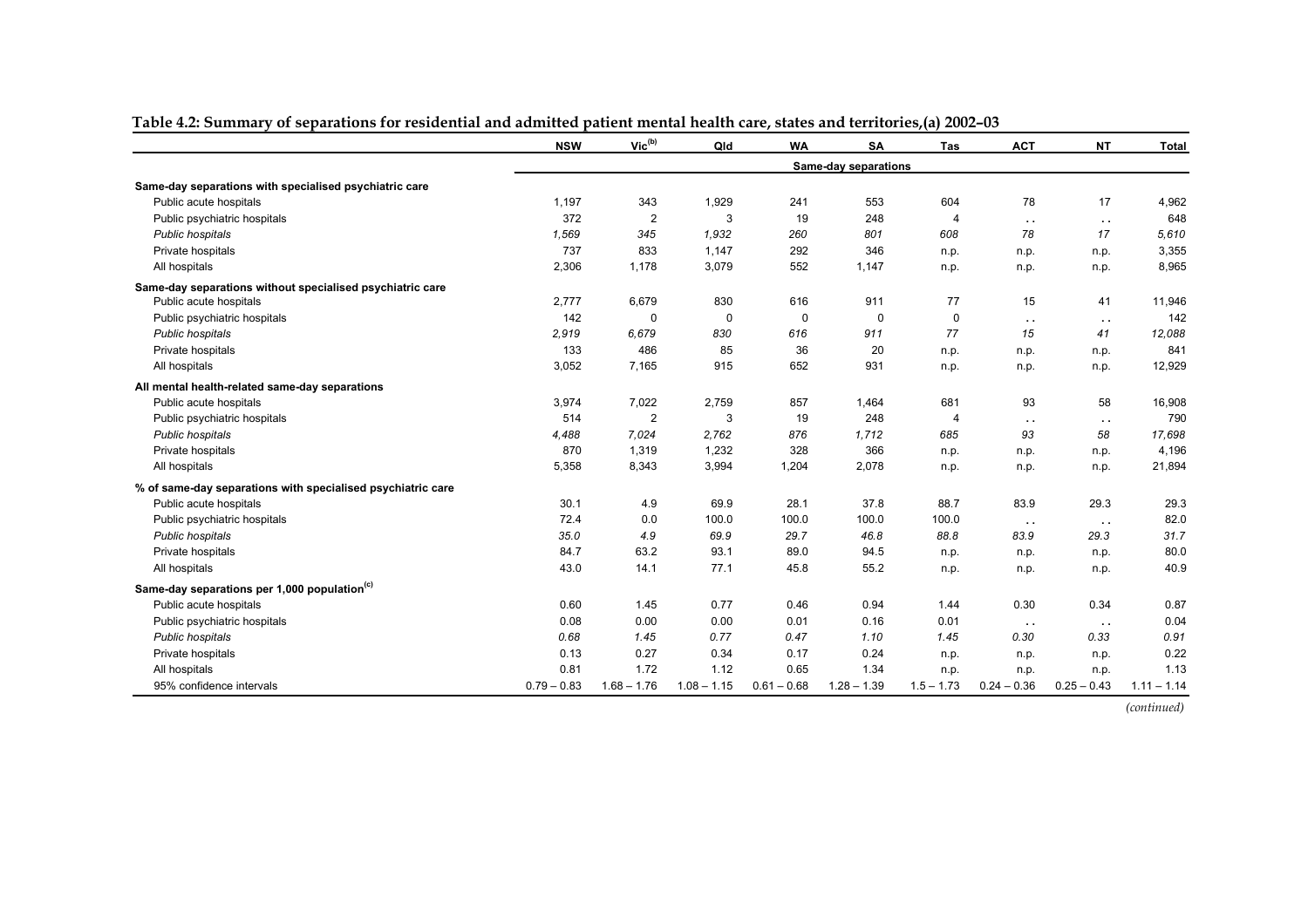|                                                             | <b>NSW</b>    | $Vic^{(b)}$    | Qld           | <b>WA</b>     | <b>SA</b>            | Tas            | <b>ACT</b>             | <b>NT</b>     | <b>Total</b>  |
|-------------------------------------------------------------|---------------|----------------|---------------|---------------|----------------------|----------------|------------------------|---------------|---------------|
|                                                             |               |                |               |               | Same-day separations |                |                        |               |               |
| Same-day separations with specialised psychiatric care      |               |                |               |               |                      |                |                        |               |               |
| Public acute hospitals                                      | 1,197         | 343            | 1,929         | 241           | 553                  | 604            | 78                     | 17            | 4,962         |
| Public psychiatric hospitals                                | 372           | $\overline{2}$ | 3             | 19            | 248                  | 4              | $\sim$                 | $\sim$ $\sim$ | 648           |
| Public hospitals                                            | 1,569         | 345            | 1,932         | 260           | 801                  | 608            | 78                     | 17            | 5.610         |
| Private hospitals                                           | 737           | 833            | 1,147         | 292           | 346                  | n.p.           | n.p.                   | n.p.          | 3,355         |
| All hospitals                                               | 2,306         | 1,178          | 3,079         | 552           | 1,147                | n.p.           | n.p.                   | n.p.          | 8,965         |
| Same-day separations without specialised psychiatric care   |               |                |               |               |                      |                |                        |               |               |
| Public acute hospitals                                      | 2,777         | 6,679          | 830           | 616           | 911                  | 77             | 15                     | 41            | 11,946        |
| Public psychiatric hospitals                                | 142           | 0              | $\mathbf 0$   | 0             | $\mathbf 0$          | 0              | $\ddot{\phantom{1}}$ . | $\sim$ $\sim$ | 142           |
| Public hospitals                                            | 2,919         | 6,679          | 830           | 616           | 911                  | 77             | 15                     | 41            | 12,088        |
| Private hospitals                                           | 133           | 486            | 85            | 36            | 20                   | n.p.           | n.p.                   | n.p.          | 841           |
| All hospitals                                               | 3,052         | 7,165          | 915           | 652           | 931                  | n.p.           | n.p.                   | n.p.          | 12,929        |
| All mental health-related same-day separations              |               |                |               |               |                      |                |                        |               |               |
| Public acute hospitals                                      | 3,974         | 7,022          | 2,759         | 857           | 1,464                | 681            | 93                     | 58            | 16,908        |
| Public psychiatric hospitals                                | 514           | $\overline{2}$ | 3             | 19            | 248                  | $\overline{4}$ | $\ddot{\phantom{1}}$ . | $\sim$ $\sim$ | 790           |
| Public hospitals                                            | 4,488         | 7.024          | 2,762         | 876           | 1,712                | 685            | 93                     | 58            | 17,698        |
| Private hospitals                                           | 870           | 1,319          | 1,232         | 328           | 366                  | n.p.           | n.p.                   | n.p.          | 4,196         |
| All hospitals                                               | 5,358         | 8,343          | 3,994         | 1,204         | 2,078                | n.p.           | n.p.                   | n.p.          | 21,894        |
| % of same-day separations with specialised psychiatric care |               |                |               |               |                      |                |                        |               |               |
| Public acute hospitals                                      | 30.1          | 4.9            | 69.9          | 28.1          | 37.8                 | 88.7           | 83.9                   | 29.3          | 29.3          |
| Public psychiatric hospitals                                | 72.4          | 0.0            | 100.0         | 100.0         | 100.0                | 100.0          | $\sim$ $\sim$          | $\sim$ $\sim$ | 82.0          |
| Public hospitals                                            | 35.0          | 4.9            | 69.9          | 29.7          | 46.8                 | 88.8           | 83.9                   | 29.3          | 31.7          |
| Private hospitals                                           | 84.7          | 63.2           | 93.1          | 89.0          | 94.5                 | n.p.           | n.p.                   | n.p.          | 80.0          |
| All hospitals                                               | 43.0          | 14.1           | 77.1          | 45.8          | 55.2                 | n.p.           | n.p.                   | n.p.          | 40.9          |
| Same-day separations per 1,000 population <sup>(c)</sup>    |               |                |               |               |                      |                |                        |               |               |
| Public acute hospitals                                      | 0.60          | 1.45           | 0.77          | 0.46          | 0.94                 | 1.44           | 0.30                   | 0.34          | 0.87          |
| Public psychiatric hospitals                                | 0.08          | 0.00           | 0.00          | 0.01          | 0.16                 | 0.01           | $\sim$ $\sim$          | $\sim$ $\sim$ | 0.04          |
| Public hospitals                                            | 0.68          | 1.45           | 0.77          | 0.47          | 1.10                 | 1.45           | 0.30                   | 0.33          | 0.91          |
| Private hospitals                                           | 0.13          | 0.27           | 0.34          | 0.17          | 0.24                 | n.p.           | n.p.                   | n.p.          | 0.22          |
| All hospitals                                               | 0.81          | 1.72           | 1.12          | 0.65          | 1.34                 | n.p.           | n.p.                   | n.p.          | 1.13          |
| 95% confidence intervals                                    | $0.79 - 0.83$ | $1.68 - 1.76$  | $1.08 - 1.15$ | $0.61 - 0.68$ | $1.28 - 1.39$        | $1.5 - 1.73$   | $0.24 - 0.36$          | $0.25 - 0.43$ | $1.11 - 1.14$ |

**Table 4.2: Summary of separations for residential and admitted patient mental health care, states and territories,(a) 2002–03**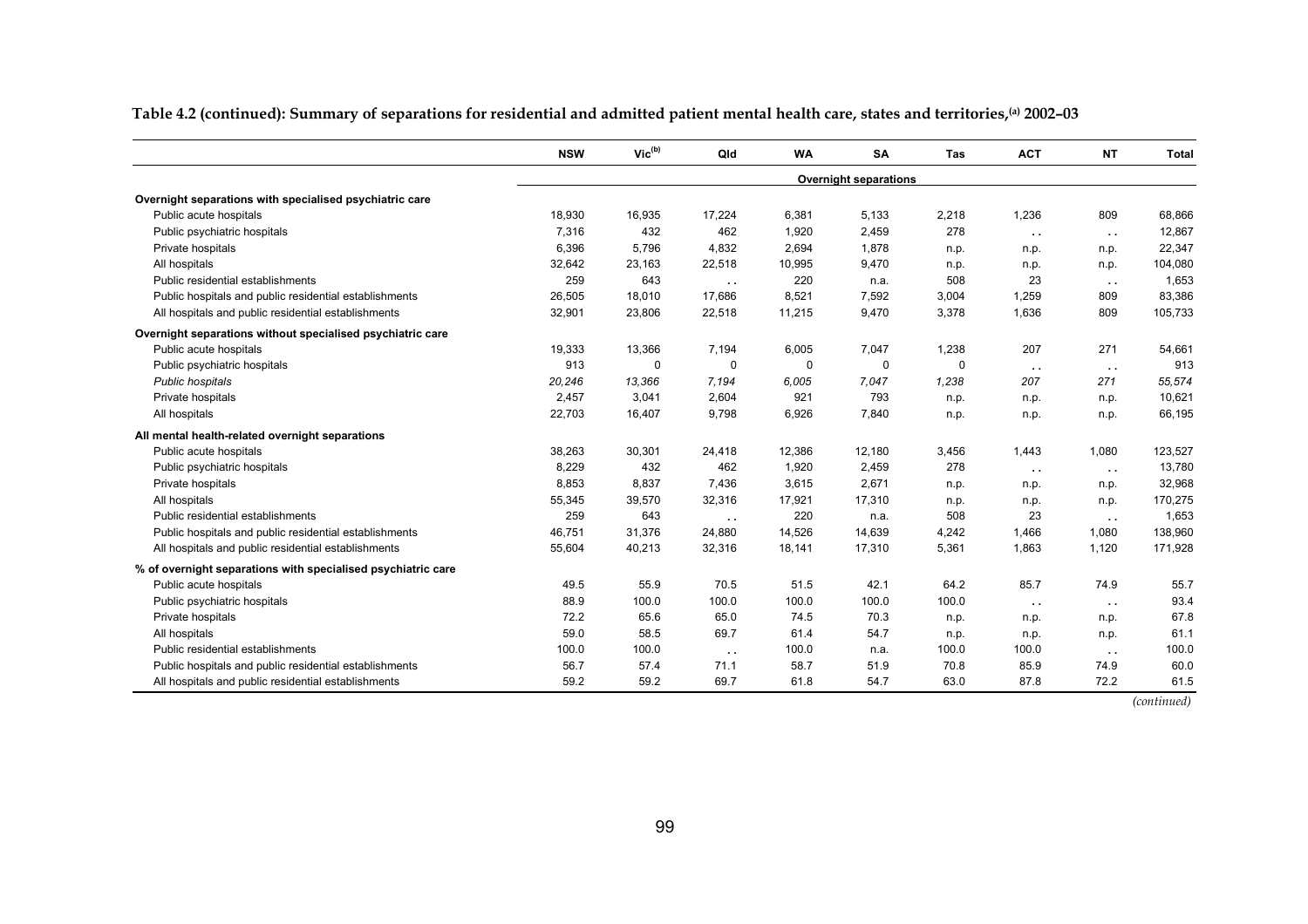**Table 4.2 (continued): Summary of separations for residential and admitted patient mental health care, states and territories,(a) 2002–03** 

|                                                              | <b>NSW</b> | $\mathsf{Vic}^{(\mathsf{b})}$ | Qld                  | <b>WA</b> | SA                           | Tas   | <b>ACT</b>    | <b>NT</b>     | <b>Total</b> |
|--------------------------------------------------------------|------------|-------------------------------|----------------------|-----------|------------------------------|-------|---------------|---------------|--------------|
|                                                              |            |                               |                      |           | <b>Overnight separations</b> |       |               |               |              |
| Overnight separations with specialised psychiatric care      |            |                               |                      |           |                              |       |               |               |              |
| Public acute hospitals                                       | 18,930     | 16,935                        | 17,224               | 6,381     | 5,133                        | 2,218 | 1,236         | 809           | 68,866       |
| Public psychiatric hospitals                                 | 7.316      | 432                           | 462                  | 1,920     | 2,459                        | 278   | $\sim$ $\sim$ | $\sim$ $\sim$ | 12,867       |
| Private hospitals                                            | 6,396      | 5,796                         | 4,832                | 2,694     | 1,878                        | n.p.  | n.p.          | n.p.          | 22,347       |
| All hospitals                                                | 32,642     | 23,163                        | 22,518               | 10,995    | 9,470                        | n.p.  | n.p.          | n.p.          | 104,080      |
| Public residential establishments                            | 259        | 643                           | $\ddot{\phantom{a}}$ | 220       | n.a.                         | 508   | 23            | $\sim$ $\sim$ | 1,653        |
| Public hospitals and public residential establishments       | 26,505     | 18,010                        | 17,686               | 8,521     | 7,592                        | 3,004 | 1,259         | 809           | 83,386       |
| All hospitals and public residential establishments          | 32,901     | 23,806                        | 22,518               | 11,215    | 9,470                        | 3,378 | 1,636         | 809           | 105,733      |
| Overnight separations without specialised psychiatric care   |            |                               |                      |           |                              |       |               |               |              |
| Public acute hospitals                                       | 19,333     | 13,366                        | 7,194                | 6,005     | 7,047                        | 1,238 | 207           | 271           | 54,661       |
| Public psychiatric hospitals                                 | 913        | 0                             | 0                    | $\Omega$  | $\mathbf 0$                  | 0     | $\sim$ $\sim$ | $\sim$ $\sim$ | 913          |
| Public hospitals                                             | 20,246     | 13,366                        | 7,194                | 6,005     | 7.047                        | 1,238 | 207           | 271           | 55,574       |
| Private hospitals                                            | 2,457      | 3,041                         | 2,604                | 921       | 793                          | n.p.  | n.p.          | n.p.          | 10,621       |
| All hospitals                                                | 22,703     | 16,407                        | 9,798                | 6,926     | 7,840                        | n.p.  | n.p.          | n.p.          | 66,195       |
| All mental health-related overnight separations              |            |                               |                      |           |                              |       |               |               |              |
| Public acute hospitals                                       | 38,263     | 30,301                        | 24,418               | 12,386    | 12,180                       | 3,456 | 1,443         | 1,080         | 123,527      |
| Public psychiatric hospitals                                 | 8,229      | 432                           | 462                  | 1,920     | 2,459                        | 278   | $\sim$ $\sim$ | $\sim$ $\sim$ | 13,780       |
| Private hospitals                                            | 8,853      | 8,837                         | 7,436                | 3,615     | 2,671                        | n.p.  | n.p.          | n.p.          | 32,968       |
| All hospitals                                                | 55,345     | 39,570                        | 32,316               | 17,921    | 17,310                       | n.p.  | n.p.          | n.p.          | 170,275      |
| Public residential establishments                            | 259        | 643                           | $\sim$               | 220       | n.a.                         | 508   | 23            | $\sim$ $\sim$ | 1,653        |
| Public hospitals and public residential establishments       | 46,751     | 31,376                        | 24,880               | 14,526    | 14,639                       | 4,242 | 1,466         | 1,080         | 138,960      |
| All hospitals and public residential establishments          | 55,604     | 40,213                        | 32,316               | 18,141    | 17,310                       | 5,361 | 1,863         | 1,120         | 171,928      |
| % of overnight separations with specialised psychiatric care |            |                               |                      |           |                              |       |               |               |              |
| Public acute hospitals                                       | 49.5       | 55.9                          | 70.5                 | 51.5      | 42.1                         | 64.2  | 85.7          | 74.9          | 55.7         |
| Public psychiatric hospitals                                 | 88.9       | 100.0                         | 100.0                | 100.0     | 100.0                        | 100.0 | $\sim$ $\sim$ | $\sim$ $\sim$ | 93.4         |
| Private hospitals                                            | 72.2       | 65.6                          | 65.0                 | 74.5      | 70.3                         | n.p.  | n.p.          | n.p.          | 67.8         |
| All hospitals                                                | 59.0       | 58.5                          | 69.7                 | 61.4      | 54.7                         | n.p.  | n.p.          | n.p.          | 61.1         |
| Public residential establishments                            | 100.0      | 100.0                         | $\sim$ $\sim$        | 100.0     | n.a.                         | 100.0 | 100.0         | $\sim$ $\sim$ | 100.0        |
| Public hospitals and public residential establishments       | 56.7       | 57.4                          | 71.1                 | 58.7      | 51.9                         | 70.8  | 85.9          | 74.9          | 60.0         |
| All hospitals and public residential establishments          | 59.2       | 59.2                          | 69.7                 | 61.8      | 54.7                         | 63.0  | 87.8          | 72.2          | 61.5         |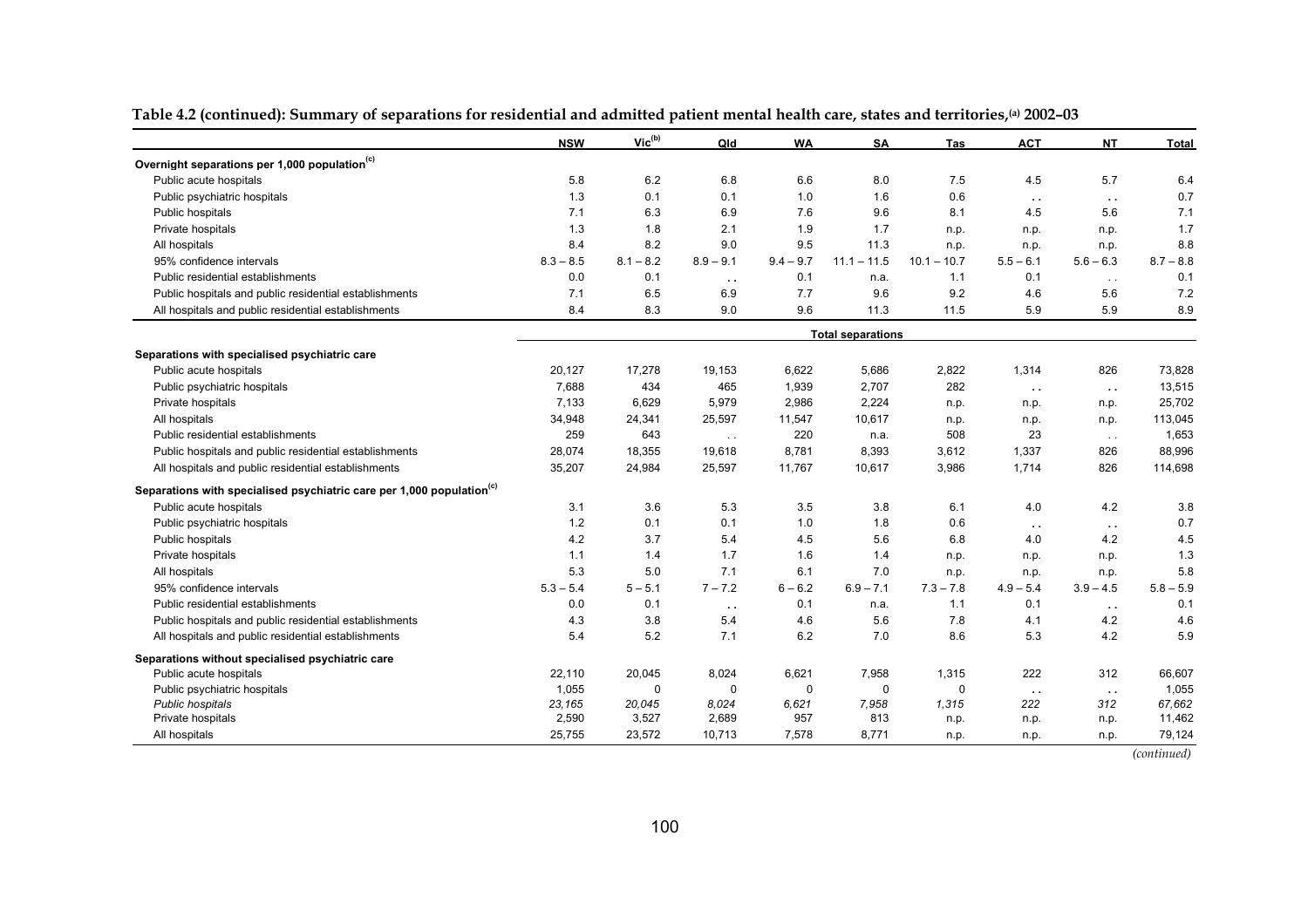|                                                                                   | <b>NSW</b>  | Vic <sup>(b)</sup> | Qld           | <b>WA</b>   | SA                       | Tas           | <b>ACT</b>    | <b>NT</b>     | Total       |
|-----------------------------------------------------------------------------------|-------------|--------------------|---------------|-------------|--------------------------|---------------|---------------|---------------|-------------|
| Overnight separations per 1,000 population <sup>(c)</sup>                         |             |                    |               |             |                          |               |               |               |             |
| Public acute hospitals                                                            | 5.8         | 6.2                | 6.8           | 6.6         | 8.0                      | 7.5           | 4.5           | 5.7           | 6.4         |
| Public psychiatric hospitals                                                      | 1.3         | 0.1                | 0.1           | 1.0         | 1.6                      | 0.6           | $\sim$ $\sim$ | $\sim$ $\sim$ | 0.7         |
| Public hospitals                                                                  | 7.1         | 6.3                | 6.9           | 7.6         | 9.6                      | 8.1           | 4.5           | 5.6           | 7.1         |
| Private hospitals                                                                 | 1.3         | 1.8                | 2.1           | 1.9         | 1.7                      | n.p.          | n.p.          | n.p.          | 1.7         |
| All hospitals                                                                     | 8.4         | 8.2                | 9.0           | 9.5         | 11.3                     | n.p.          | n.p.          | n.p.          | 8.8         |
| 95% confidence intervals                                                          | $8.3 - 8.5$ | $8.1 - 8.2$        | $8.9 - 9.1$   | $9.4 - 9.7$ | $11.1 - 11.5$            | $10.1 - 10.7$ | $5.5 - 6.1$   | $5.6 - 6.3$   | $8.7 - 8.8$ |
| Public residential establishments                                                 | 0.0         | 0.1                | $\sim$ $\sim$ | 0.1         | n.a.                     | 1.1           | 0.1           | $\sim$ $\sim$ | 0.1         |
| Public hospitals and public residential establishments                            | 7.1         | 6.5                | 6.9           | 7.7         | 9.6                      | 9.2           | 4.6           | 5.6           | 7.2         |
| All hospitals and public residential establishments                               | 8.4         | 8.3                | 9.0           | 9.6         | 11.3                     | 11.5          | 5.9           | 5.9           | 8.9         |
|                                                                                   |             |                    |               |             | <b>Total separations</b> |               |               |               |             |
| Separations with specialised psychiatric care                                     |             |                    |               |             |                          |               |               |               |             |
| Public acute hospitals                                                            | 20,127      | 17,278             | 19,153        | 6,622       | 5,686                    | 2,822         | 1,314         | 826           | 73,828      |
| Public psychiatric hospitals                                                      | 7,688       | 434                | 465           | 1,939       | 2,707                    | 282           | $\sim$ $\sim$ | $\sim$ $\sim$ | 13,515      |
| Private hospitals                                                                 | 7.133       | 6,629              | 5,979         | 2,986       | 2,224                    | n.p.          | n.p.          | n.p.          | 25,702      |
| All hospitals                                                                     | 34,948      | 24,341             | 25,597        | 11,547      | 10,617                   | n.p.          | n.p.          | n.p.          | 113,045     |
| Public residential establishments                                                 | 259         | 643                | $\sim$ $\sim$ | 220         | n.a.                     | 508           | 23            | $\sim$ $\sim$ | 1,653       |
| Public hospitals and public residential establishments                            | 28,074      | 18,355             | 19,618        | 8,781       | 8,393                    | 3,612         | 1,337         | 826           | 88,996      |
| All hospitals and public residential establishments                               | 35,207      | 24,984             | 25,597        | 11,767      | 10,617                   | 3,986         | 1.714         | 826           | 114,698     |
| Separations with specialised psychiatric care per 1,000 population <sup>(c)</sup> |             |                    |               |             |                          |               |               |               |             |
| Public acute hospitals                                                            | 3.1         | 3.6                | 5.3           | 3.5         | 3.8                      | 6.1           | 4.0           | 4.2           | 3.8         |
| Public psychiatric hospitals                                                      | 1.2         | 0.1                | 0.1           | 1.0         | 1.8                      | 0.6           | $\sim$ $\sim$ | $\sim$        | 0.7         |
| Public hospitals                                                                  | 4.2         | 3.7                | 5.4           | 4.5         | 5.6                      | 6.8           | 4.0           | 4.2           | 4.5         |
| Private hospitals                                                                 | 1.1         | 1.4                | 1.7           | 1.6         | 1.4                      | n.p.          | n.p.          | n.p.          | 1.3         |
| All hospitals                                                                     | 5.3         | 5.0                | 7.1           | 6.1         | 7.0                      | n.p.          | n.p.          | n.p.          | 5.8         |
| 95% confidence intervals                                                          | $5.3 - 5.4$ | $5 - 5.1$          | $7 - 7.2$     | $6 - 6.2$   | $6.9 - 7.1$              | $7.3 - 7.8$   | $4.9 - 5.4$   | $3.9 - 4.5$   | $5.8 - 5.9$ |
| Public residential establishments                                                 | 0.0         | 0.1                | $\sim$ $\sim$ | 0.1         | n.a.                     | 1.1           | 0.1           | $\sim$ $\sim$ | 0.1         |
| Public hospitals and public residential establishments                            | 4.3         | 3.8                | 5.4           | 4.6         | 5.6                      | 7.8           | 4.1           | 4.2           | 4.6         |
| All hospitals and public residential establishments                               | 5.4         | 5.2                | 7.1           | 6.2         | 7.0                      | 8.6           | 5.3           | 4.2           | 5.9         |
| Separations without specialised psychiatric care                                  |             |                    |               |             |                          |               |               |               |             |
| Public acute hospitals                                                            | 22,110      | 20,045             | 8,024         | 6,621       | 7,958                    | 1,315         | 222           | 312           | 66,607      |
| Public psychiatric hospitals                                                      | 1,055       | 0                  | 0             | $\mathbf 0$ | $\mathbf 0$              | 0             | $\sim$ $\sim$ | $\sim$ $\sim$ | 1,055       |
| Public hospitals                                                                  | 23,165      | 20,045             | 8.024         | 6,621       | 7,958                    | 1,315         | 222           | 312           | 67.662      |
| Private hospitals                                                                 | 2,590       | 3,527              | 2,689         | 957         | 813                      | n.p.          | n.p.          | n.p.          | 11,462      |
| All hospitals                                                                     | 25,755      | 23,572             | 10,713        | 7,578       | 8,771                    | n.p.          | n.p.          | n.p.          | 79,124      |

#### **Table 4.2 (continued): Summary of separations for residential and admitted patient mental health care, states and territories,(a) 2002–03**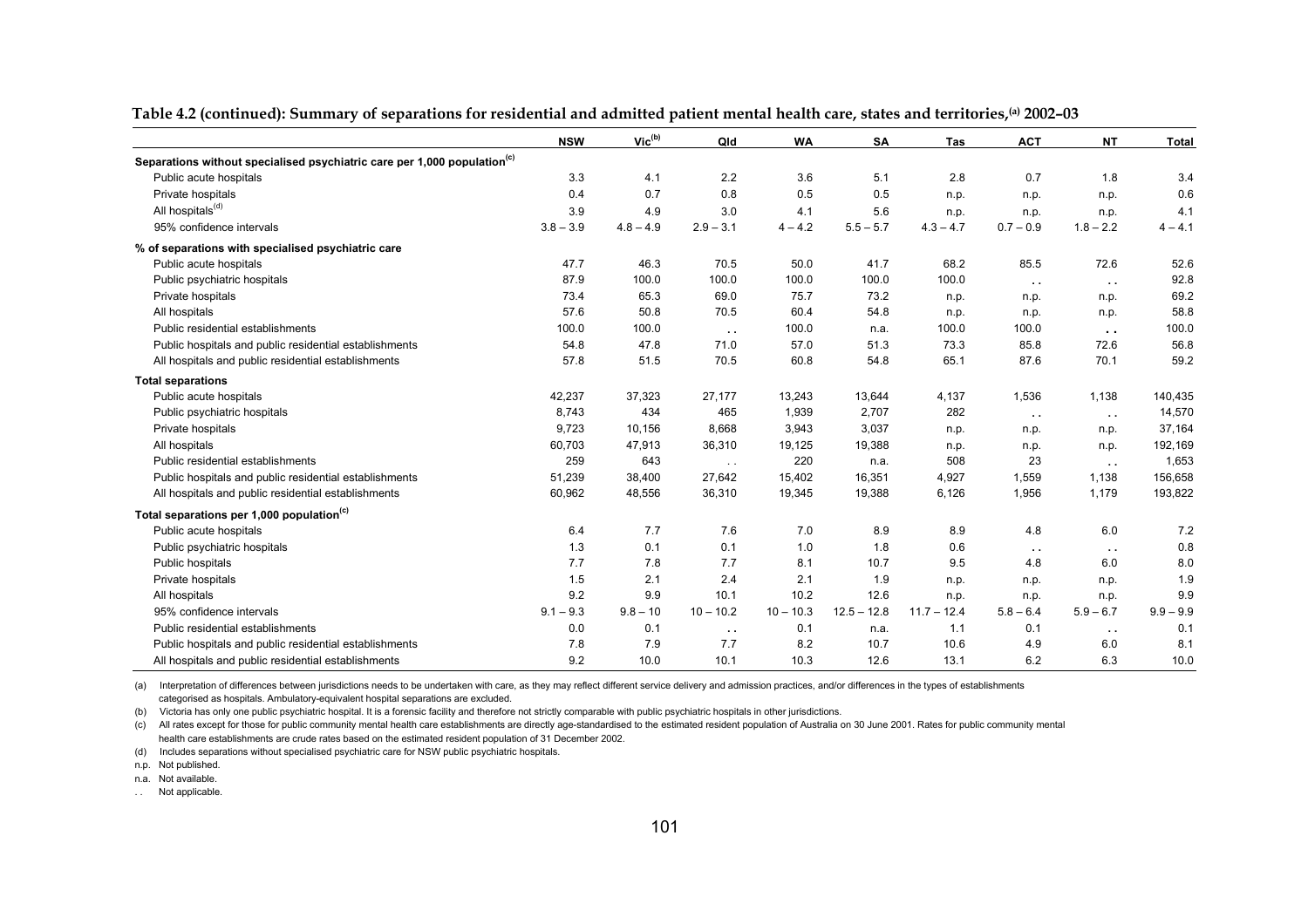|                                                                                      | <b>NSW</b>  | Vic <sup>(b)</sup> | Qld           | <b>WA</b>   | SA            | Tas           | <b>ACT</b>    | <b>NT</b>     | <b>Total</b> |
|--------------------------------------------------------------------------------------|-------------|--------------------|---------------|-------------|---------------|---------------|---------------|---------------|--------------|
| Separations without specialised psychiatric care per 1,000 population <sup>(c)</sup> |             |                    |               |             |               |               |               |               |              |
| Public acute hospitals                                                               | 3.3         | 4.1                | 2.2           | 3.6         | 5.1           | 2.8           | 0.7           | 1.8           | 3.4          |
| Private hospitals                                                                    | 0.4         | 0.7                | 0.8           | 0.5         | 0.5           | n.p.          | n.p.          | n.p.          | 0.6          |
| All hospitals <sup>(d)</sup>                                                         | 3.9         | 4.9                | 3.0           | 4.1         | 5.6           | n.p.          | n.p.          | n.p.          | 4.1          |
| 95% confidence intervals                                                             | $3.8 - 3.9$ | $4.8 - 4.9$        | $2.9 - 3.1$   | $4 - 4.2$   | $5.5 - 5.7$   | $4.3 - 4.7$   | $0.7 - 0.9$   | $1.8 - 2.2$   | $4 - 4.1$    |
| % of separations with specialised psychiatric care                                   |             |                    |               |             |               |               |               |               |              |
| Public acute hospitals                                                               | 47.7        | 46.3               | 70.5          | 50.0        | 41.7          | 68.2          | 85.5          | 72.6          | 52.6         |
| Public psychiatric hospitals                                                         | 87.9        | 100.0              | 100.0         | 100.0       | 100.0         | 100.0         | $\sim$ $\sim$ | $\sim$ $\sim$ | 92.8         |
| Private hospitals                                                                    | 73.4        | 65.3               | 69.0          | 75.7        | 73.2          | n.p.          | n.p.          | n.p.          | 69.2         |
| All hospitals                                                                        | 57.6        | 50.8               | 70.5          | 60.4        | 54.8          | n.p.          | n.p.          | n.p.          | 58.8         |
| Public residential establishments                                                    | 100.0       | 100.0              | $\sim$ $\sim$ | 100.0       | n.a.          | 100.0         | 100.0         | $\sim$ $\sim$ | 100.0        |
| Public hospitals and public residential establishments                               | 54.8        | 47.8               | 71.0          | 57.0        | 51.3          | 73.3          | 85.8          | 72.6          | 56.8         |
| All hospitals and public residential establishments                                  | 57.8        | 51.5               | 70.5          | 60.8        | 54.8          | 65.1          | 87.6          | 70.1          | 59.2         |
| <b>Total separations</b>                                                             |             |                    |               |             |               |               |               |               |              |
| Public acute hospitals                                                               | 42,237      | 37,323             | 27,177        | 13,243      | 13,644        | 4,137         | 1,536         | 1,138         | 140,435      |
| Public psychiatric hospitals                                                         | 8,743       | 434                | 465           | 1,939       | 2,707         | 282           | $\sim$ $\sim$ | $\sim$        | 14,570       |
| Private hospitals                                                                    | 9,723       | 10,156             | 8,668         | 3,943       | 3,037         | n.p.          | n.p.          | n.p.          | 37,164       |
| All hospitals                                                                        | 60,703      | 47,913             | 36,310        | 19,125      | 19,388        | n.p.          | n.p.          | n.p.          | 192,169      |
| Public residential establishments                                                    | 259         | 643                | $\sim$ $\sim$ | 220         | n.a.          | 508           | 23            | $\sim$ $\sim$ | 1,653        |
| Public hospitals and public residential establishments                               | 51,239      | 38,400             | 27,642        | 15,402      | 16,351        | 4,927         | 1,559         | 1,138         | 156,658      |
| All hospitals and public residential establishments                                  | 60,962      | 48,556             | 36,310        | 19,345      | 19,388        | 6,126         | 1,956         | 1,179         | 193,822      |
| Total separations per 1,000 population <sup>(c)</sup>                                |             |                    |               |             |               |               |               |               |              |
| Public acute hospitals                                                               | 6.4         | 7.7                | 7.6           | 7.0         | 8.9           | 8.9           | 4.8           | 6.0           | 7.2          |
| Public psychiatric hospitals                                                         | 1.3         | 0.1                | 0.1           | 1.0         | 1.8           | 0.6           | $\sim$ $\sim$ | $\sim$ $\sim$ | 0.8          |
| Public hospitals                                                                     | 7.7         | 7.8                | 7.7           | 8.1         | 10.7          | 9.5           | 4.8           | 6.0           | 8.0          |
| Private hospitals                                                                    | 1.5         | 2.1                | 2.4           | 2.1         | 1.9           | n.p.          | n.p.          | n.p.          | 1.9          |
| All hospitals                                                                        | 9.2         | 9.9                | 10.1          | 10.2        | 12.6          | n.p.          | n.p.          | n.p.          | 9.9          |
| 95% confidence intervals                                                             | $9.1 - 9.3$ | $9.8 - 10$         | $10 - 10.2$   | $10 - 10.3$ | $12.5 - 12.8$ | $11.7 - 12.4$ | $5.8 - 6.4$   | $5.9 - 6.7$   | $9.9 - 9.9$  |
| Public residential establishments                                                    | 0.0         | 0.1                | $\sim$ $\sim$ | 0.1         | n.a.          | 1.1           | 0.1           | $\sim$ $\sim$ | 0.1          |
| Public hospitals and public residential establishments                               | 7.8         | 7.9                | 7.7           | 8.2         | 10.7          | 10.6          | 4.9           | 6.0           | 8.1          |
| All hospitals and public residential establishments                                  | 9.2         | 10.0               | 10.1          | 10.3        | 12.6          | 13.1          | 6.2           | 6.3           | 10.0         |

**Table 4.2 (continued): Summary of separations for residential and admitted patient mental health care, states and territories,(a) 2002–03**

(a) Interpretation of differences between jurisdictions needs to be undertaken with care, as they may reflect different service delivery and admission practices, and/or differences in the types of establishments categorised as hospitals. Ambulatory-equivalent hospital separations are excluded.

(b) Victoria has only one public psychiatric hospital. It is a forensic facility and therefore not strictly comparable with public psychiatric hospitals in other jurisdictions.

 health care establishments are crude rates based on the estimated resident population of 31 December 2002. (c) All rates except for those for public community mental health care establishments are directly age-standardised to the estimated resident population of Australia on 30 June 2001. Rates for public community mental

(d) Includes separations without specialised psychiatric care for NSW public psychiatric hospitals.

n.p. Not published.

n.a. Not available.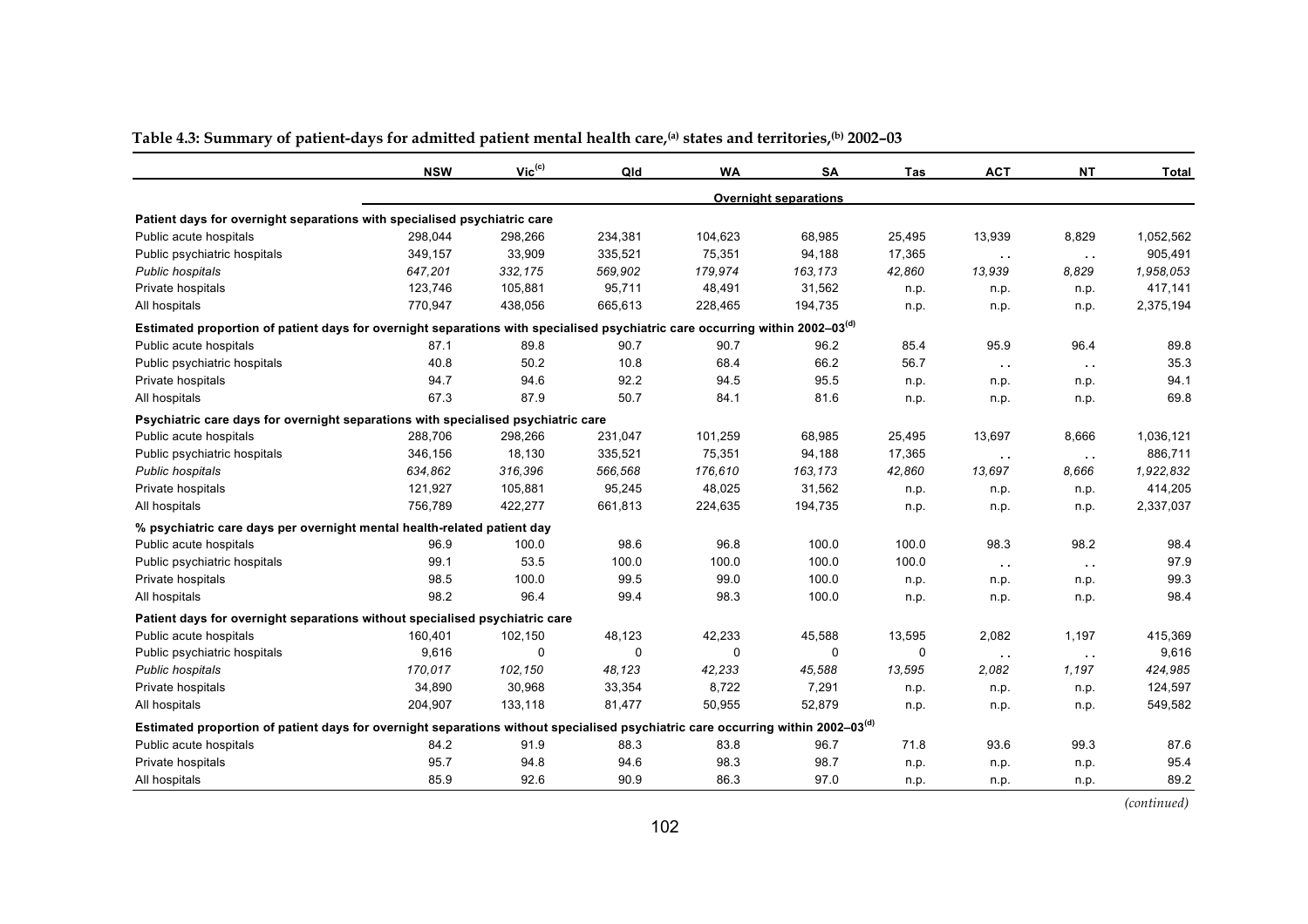|                                                                                                                                             | <b>NSW</b> | $Vic^{(c)}$ | Qld      | <b>WA</b> | <b>SA</b>                    | Tas    | <b>ACT</b>    | <b>NT</b>     | <b>Total</b> |
|---------------------------------------------------------------------------------------------------------------------------------------------|------------|-------------|----------|-----------|------------------------------|--------|---------------|---------------|--------------|
|                                                                                                                                             |            |             |          |           | <b>Overnight separations</b> |        |               |               |              |
| Patient days for overnight separations with specialised psychiatric care                                                                    |            |             |          |           |                              |        |               |               |              |
| Public acute hospitals                                                                                                                      | 298,044    | 298,266     | 234,381  | 104,623   | 68,985                       | 25,495 | 13,939        | 8,829         | 1,052,562    |
| Public psychiatric hospitals                                                                                                                | 349,157    | 33,909      | 335,521  | 75,351    | 94,188                       | 17,365 | $\sim$ $\sim$ | $\sim$ $\sim$ | 905,491      |
| Public hospitals                                                                                                                            | 647,201    | 332,175     | 569,902  | 179,974   | 163,173                      | 42,860 | 13,939        | 8.829         | 1.958.053    |
| Private hospitals                                                                                                                           | 123,746    | 105,881     | 95,711   | 48,491    | 31,562                       | n.p.   | n.p.          | n.p.          | 417,141      |
| All hospitals                                                                                                                               | 770,947    | 438,056     | 665,613  | 228,465   | 194,735                      | n.p.   | n.p.          | n.p.          | 2,375,194    |
| Estimated proportion of patient days for overnight separations with specialised psychiatric care occurring within 2002-03 <sup>(d)</sup>    |            |             |          |           |                              |        |               |               |              |
| Public acute hospitals                                                                                                                      | 87.1       | 89.8        | 90.7     | 90.7      | 96.2                         | 85.4   | 95.9          | 96.4          | 89.8         |
| Public psychiatric hospitals                                                                                                                | 40.8       | 50.2        | 10.8     | 68.4      | 66.2                         | 56.7   | $\sim$ $\sim$ | $\sim$ $\sim$ | 35.3         |
| Private hospitals                                                                                                                           | 94.7       | 94.6        | 92.2     | 94.5      | 95.5                         | n.p.   | n.p.          | n.p.          | 94.1         |
| All hospitals                                                                                                                               | 67.3       | 87.9        | 50.7     | 84.1      | 81.6                         | n.p.   | n.p.          | n.p.          | 69.8         |
| Psychiatric care days for overnight separations with specialised psychiatric care                                                           |            |             |          |           |                              |        |               |               |              |
| Public acute hospitals                                                                                                                      | 288,706    | 298,266     | 231,047  | 101,259   | 68,985                       | 25,495 | 13,697        | 8,666         | 1,036,121    |
| Public psychiatric hospitals                                                                                                                | 346,156    | 18,130      | 335,521  | 75,351    | 94,188                       | 17,365 | $\sim$ $\sim$ | $\sim$ $\sim$ | 886,711      |
| Public hospitals                                                                                                                            | 634,862    | 316,396     | 566,568  | 176,610   | 163,173                      | 42,860 | 13,697        | 8.666         | 1,922,832    |
| Private hospitals                                                                                                                           | 121,927    | 105,881     | 95,245   | 48,025    | 31,562                       | n.p.   | n.p.          | n.p.          | 414,205      |
| All hospitals                                                                                                                               | 756,789    | 422,277     | 661,813  | 224,635   | 194,735                      | n.p.   | n.p.          | n.p.          | 2,337,037    |
| % psychiatric care days per overnight mental health-related patient day                                                                     |            |             |          |           |                              |        |               |               |              |
| Public acute hospitals                                                                                                                      | 96.9       | 100.0       | 98.6     | 96.8      | 100.0                        | 100.0  | 98.3          | 98.2          | 98.4         |
| Public psychiatric hospitals                                                                                                                | 99.1       | 53.5        | 100.0    | 100.0     | 100.0                        | 100.0  | $\sim$ $\sim$ | $\sim$ $\sim$ | 97.9         |
| Private hospitals                                                                                                                           | 98.5       | 100.0       | 99.5     | 99.0      | 100.0                        | n.p.   | n.p.          | n.p.          | 99.3         |
| All hospitals                                                                                                                               | 98.2       | 96.4        | 99.4     | 98.3      | 100.0                        | n.p.   | n.p.          | n.p.          | 98.4         |
| Patient days for overnight separations without specialised psychiatric care                                                                 |            |             |          |           |                              |        |               |               |              |
| Public acute hospitals                                                                                                                      | 160,401    | 102,150     | 48,123   | 42,233    | 45,588                       | 13,595 | 2,082         | 1,197         | 415,369      |
| Public psychiatric hospitals                                                                                                                | 9,616      | 0           | $\Omega$ | 0         | 0                            | 0      | $\sim$ $\sim$ | $\sim$ $\sim$ | 9,616        |
| Public hospitals                                                                                                                            | 170,017    | 102,150     | 48,123   | 42,233    | 45,588                       | 13,595 | 2,082         | 1,197         | 424,985      |
| Private hospitals                                                                                                                           | 34,890     | 30,968      | 33,354   | 8,722     | 7,291                        | n.p.   | n.p.          | n.p.          | 124,597      |
| All hospitals                                                                                                                               | 204,907    | 133,118     | 81,477   | 50,955    | 52,879                       | n.p.   | n.p.          | n.p.          | 549,582      |
| Estimated proportion of patient days for overnight separations without specialised psychiatric care occurring within 2002–03 <sup>(d)</sup> |            |             |          |           |                              |        |               |               |              |
| Public acute hospitals                                                                                                                      | 84.2       | 91.9        | 88.3     | 83.8      | 96.7                         | 71.8   | 93.6          | 99.3          | 87.6         |
| Private hospitals                                                                                                                           | 95.7       | 94.8        | 94.6     | 98.3      | 98.7                         | n.p.   | n.p.          | n.p.          | 95.4         |
| All hospitals                                                                                                                               | 85.9       | 92.6        | 90.9     | 86.3      | 97.0                         | n.p.   | n.p.          | n.p.          | 89.2         |

#### Table 4.3: Summary of patient-days for admitted patient mental health care,<sup>(a)</sup> states and territories,<sup>(b)</sup> 2002-03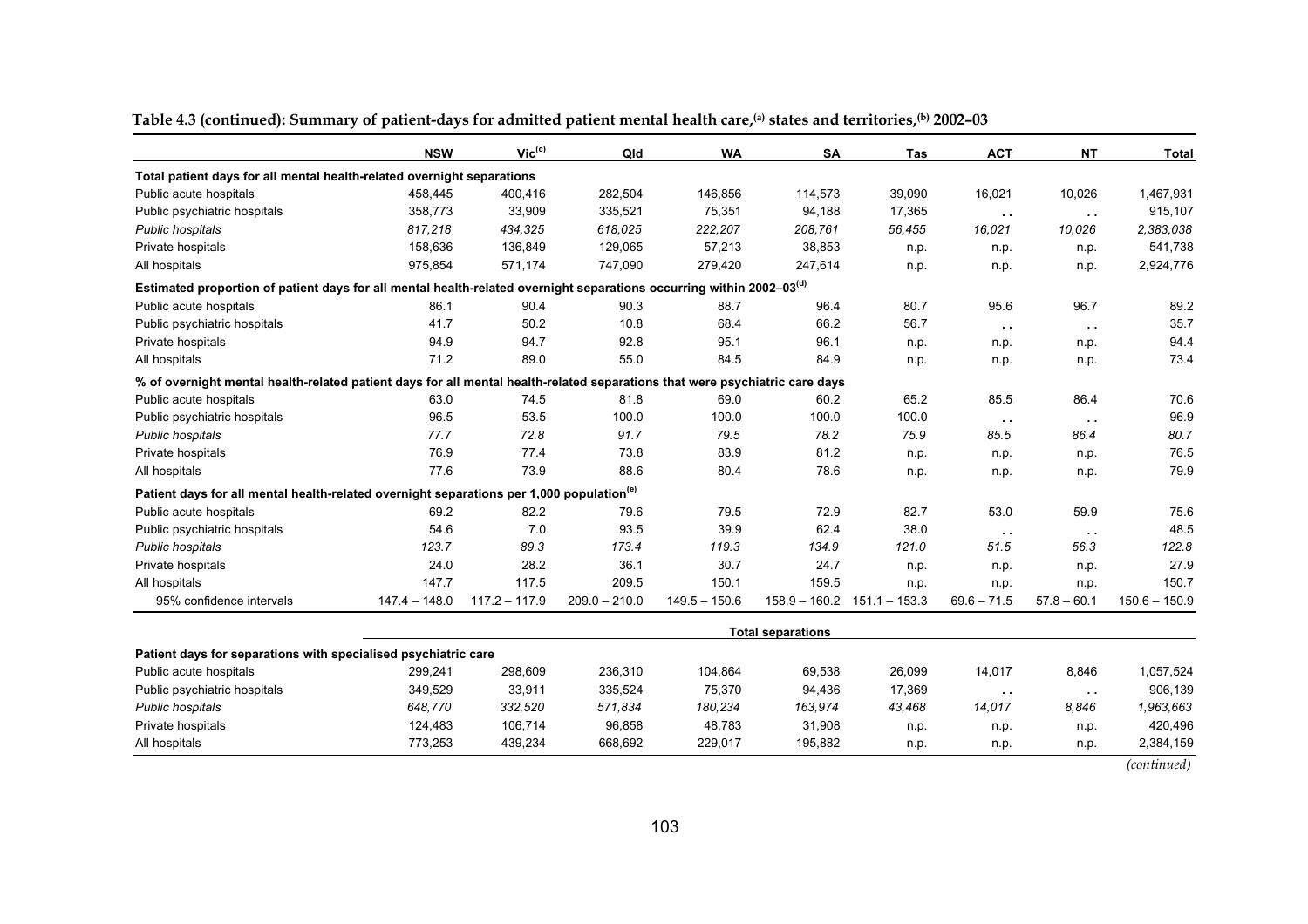|                                                                                                                                  | <b>NSW</b>      | $Vic^{(c)}$     | Qld             | <b>WA</b>       | <b>SA</b>                | Tas                             | <b>ACT</b>    | <b>NT</b>     | <b>Total</b>    |
|----------------------------------------------------------------------------------------------------------------------------------|-----------------|-----------------|-----------------|-----------------|--------------------------|---------------------------------|---------------|---------------|-----------------|
| Total patient days for all mental health-related overnight separations                                                           |                 |                 |                 |                 |                          |                                 |               |               |                 |
| Public acute hospitals                                                                                                           | 458,445         | 400,416         | 282,504         | 146,856         | 114,573                  | 39,090                          | 16,021        | 10,026        | 1,467,931       |
| Public psychiatric hospitals                                                                                                     | 358,773         | 33,909          | 335,521         | 75,351          | 94,188                   | 17,365                          | $\sim$ $\sim$ | $\sim$ $\sim$ | 915,107         |
| Public hospitals                                                                                                                 | 817,218         | 434,325         | 618.025         | 222,207         | 208,761                  | 56,455                          | 16,021        | 10,026        | 2,383,038       |
| Private hospitals                                                                                                                | 158,636         | 136,849         | 129,065         | 57,213          | 38,853                   | n.p.                            | n.p.          | n.p.          | 541,738         |
| All hospitals                                                                                                                    | 975,854         | 571,174         | 747,090         | 279,420         | 247,614                  | n.p.                            | n.p.          | n.p.          | 2,924,776       |
| Estimated proportion of patient days for all mental health-related overnight separations occurring within 2002-03 <sup>(d)</sup> |                 |                 |                 |                 |                          |                                 |               |               |                 |
| Public acute hospitals                                                                                                           | 86.1            | 90.4            | 90.3            | 88.7            | 96.4                     | 80.7                            | 95.6          | 96.7          | 89.2            |
| Public psychiatric hospitals                                                                                                     | 41.7            | 50.2            | 10.8            | 68.4            | 66.2                     | 56.7                            | $\sim 10$     | $\sim$ $\sim$ | 35.7            |
| Private hospitals                                                                                                                | 94.9            | 94.7            | 92.8            | 95.1            | 96.1                     | n.p.                            | n.p.          | n.p.          | 94.4            |
| All hospitals                                                                                                                    | 71.2            | 89.0            | 55.0            | 84.5            | 84.9                     | n.p.                            | n.p.          | n.p.          | 73.4            |
| % of overnight mental health-related patient days for all mental health-related separations that were psychiatric care days      |                 |                 |                 |                 |                          |                                 |               |               |                 |
| Public acute hospitals                                                                                                           | 63.0            | 74.5            | 81.8            | 69.0            | 60.2                     | 65.2                            | 85.5          | 86.4          | 70.6            |
| Public psychiatric hospitals                                                                                                     | 96.5            | 53.5            | 100.0           | 100.0           | 100.0                    | 100.0                           | $\sim$        | $\sim$ $\sim$ | 96.9            |
| Public hospitals                                                                                                                 | 77.7            | 72.8            | 91.7            | 79.5            | 78.2                     | 75.9                            | 85.5          | 86.4          | 80.7            |
| Private hospitals                                                                                                                | 76.9            | 77.4            | 73.8            | 83.9            | 81.2                     | n.p.                            | n.p.          | n.p.          | 76.5            |
| All hospitals                                                                                                                    | 77.6            | 73.9            | 88.6            | 80.4            | 78.6                     | n.p.                            | n.p.          | n.p.          | 79.9            |
| Patient days for all mental health-related overnight separations per 1,000 population <sup>(e)</sup>                             |                 |                 |                 |                 |                          |                                 |               |               |                 |
| Public acute hospitals                                                                                                           | 69.2            | 82.2            | 79.6            | 79.5            | 72.9                     | 82.7                            | 53.0          | 59.9          | 75.6            |
| Public psychiatric hospitals                                                                                                     | 54.6            | 7.0             | 93.5            | 39.9            | 62.4                     | 38.0                            | $\sim$ $\sim$ | $\sim$ $\sim$ | 48.5            |
| Public hospitals                                                                                                                 | 123.7           | 89.3            | 173.4           | 119.3           | 134.9                    | 121.0                           | 51.5          | 56.3          | 122.8           |
| Private hospitals                                                                                                                | 24.0            | 28.2            | 36.1            | 30.7            | 24.7                     | n.p.                            | n.p.          | n.p.          | 27.9            |
| All hospitals                                                                                                                    | 147.7           | 117.5           | 209.5           | 150.1           | 159.5                    | n.p.                            | n.p.          | n.p.          | 150.7           |
| 95% confidence intervals                                                                                                         | $147.4 - 148.0$ | $117.2 - 117.9$ | $209.0 - 210.0$ | $149.5 - 150.6$ |                          | $158.9 - 160.2$ $151.1 - 153.3$ | $69.6 - 71.5$ | $57.8 - 60.1$ | $150.6 - 150.9$ |
|                                                                                                                                  |                 |                 |                 |                 | <b>Total separations</b> |                                 |               |               |                 |
| Patient days for separations with specialised psychiatric care                                                                   |                 |                 |                 |                 |                          |                                 |               |               |                 |
| Public acute hospitals                                                                                                           | 299,241         | 298,609         | 236,310         | 104,864         | 69,538                   | 26,099                          | 14,017        | 8,846         | 1,057,524       |
| Public psychiatric hospitals                                                                                                     | 349,529         | 33,911          | 335,524         | 75,370          | 94,436                   | 17,369                          | $\sim 10$     | $\sim$ $\sim$ | 906,139         |
| Public hospitals                                                                                                                 | 648,770         | 332,520         | 571,834         | 180,234         | 163,974                  | 43,468                          | 14,017        | 8.846         | 1.963.663       |
| Private hospitals                                                                                                                | 124,483         | 106,714         | 96,858          | 48,783          | 31,908                   | n.p.                            | n.p.          | n.p.          | 420,496         |
| All hospitals                                                                                                                    | 773,253         | 439,234         | 668,692         | 229,017         | 195,882                  | n.p.                            | n.p.          | n.p.          | 2,384,159       |

|  |  |  |  |  |  |  | Table 4.3 (continued): Summary of patient-days for admitted patient mental health care, <sup>(a)</sup> states and territories, <sup>(b)</sup> 2002–03 |
|--|--|--|--|--|--|--|-------------------------------------------------------------------------------------------------------------------------------------------------------|
|--|--|--|--|--|--|--|-------------------------------------------------------------------------------------------------------------------------------------------------------|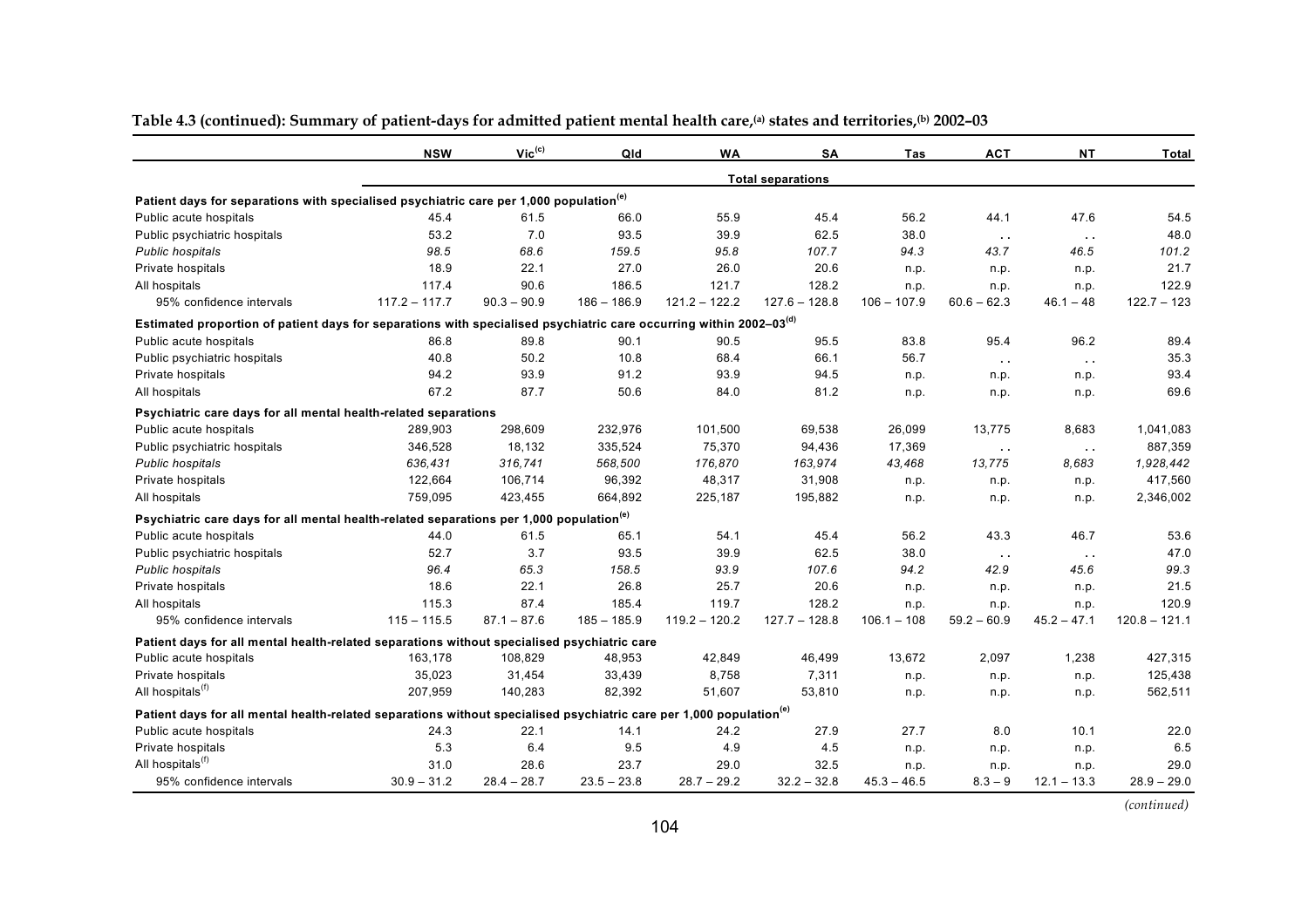|                                                                                                                                 | <b>NSW</b>      | $Vic^{(c)}$   | Qld           | <b>WA</b>       | <b>SA</b>                | Tas           | <b>ACT</b>    | NΤ            | Total           |
|---------------------------------------------------------------------------------------------------------------------------------|-----------------|---------------|---------------|-----------------|--------------------------|---------------|---------------|---------------|-----------------|
|                                                                                                                                 |                 |               |               |                 | <b>Total separations</b> |               |               |               |                 |
| Patient days for separations with specialised psychiatric care per 1,000 population <sup>(e)</sup>                              |                 |               |               |                 |                          |               |               |               |                 |
| Public acute hospitals                                                                                                          | 45.4            | 61.5          | 66.0          | 55.9            | 45.4                     | 56.2          | 44.1          | 47.6          | 54.5            |
| Public psychiatric hospitals                                                                                                    | 53.2            | 7.0           | 93.5          | 39.9            | 62.5                     | 38.0          | $\sim$ $\sim$ | $\sim$ $\sim$ | 48.0            |
| Public hospitals                                                                                                                | 98.5            | 68.6          | 159.5         | 95.8            | 107.7                    | 94.3          | 43.7          | 46.5          | 101.2           |
| Private hospitals                                                                                                               | 18.9            | 22.1          | 27.0          | 26.0            | 20.6                     | n.p.          | n.p.          | n.p.          | 21.7            |
| All hospitals                                                                                                                   | 117.4           | 90.6          | 186.5         | 121.7           | 128.2                    | n.p.          | n.p.          | n.p.          | 122.9           |
| 95% confidence intervals                                                                                                        | $117.2 - 117.7$ | $90.3 - 90.9$ | $186 - 186.9$ | $121.2 - 122.2$ | $127.6 - 128.8$          | $106 - 107.9$ | $60.6 - 62.3$ | $46.1 - 48$   | $122.7 - 123$   |
| Estimated proportion of patient days for separations with specialised psychiatric care occurring within 2002-03 <sup>(d)</sup>  |                 |               |               |                 |                          |               |               |               |                 |
| Public acute hospitals                                                                                                          | 86.8            | 89.8          | 90.1          | 90.5            | 95.5                     | 83.8          | 95.4          | 96.2          | 89.4            |
| Public psychiatric hospitals                                                                                                    | 40.8            | 50.2          | 10.8          | 68.4            | 66.1                     | 56.7          | $\sim$ $\sim$ | $\sim$ $\sim$ | 35.3            |
| Private hospitals                                                                                                               | 94.2            | 93.9          | 91.2          | 93.9            | 94.5                     | n.p.          | n.p.          | n.p.          | 93.4            |
| All hospitals                                                                                                                   | 67.2            | 87.7          | 50.6          | 84.0            | 81.2                     | n.p.          | n.p.          | n.p.          | 69.6            |
| Psychiatric care days for all mental health-related separations                                                                 |                 |               |               |                 |                          |               |               |               |                 |
| Public acute hospitals                                                                                                          | 289,903         | 298,609       | 232,976       | 101,500         | 69,538                   | 26,099        | 13,775        | 8,683         | 1,041,083       |
| Public psychiatric hospitals                                                                                                    | 346,528         | 18,132        | 335,524       | 75,370          | 94,436                   | 17,369        | $\sim$ $\sim$ | $\sim$ $\sim$ | 887,359         |
| Public hospitals                                                                                                                | 636,431         | 316,741       | 568,500       | 176,870         | 163.974                  | 43,468        | 13,775        | 8.683         | 1,928,442       |
| Private hospitals                                                                                                               | 122,664         | 106,714       | 96,392        | 48,317          | 31,908                   | n.p.          | n.p.          | n.p.          | 417,560         |
| All hospitals                                                                                                                   | 759,095         | 423,455       | 664,892       | 225,187         | 195,882                  | n.p.          | n.p.          | n.p.          | 2,346,002       |
| Psychiatric care days for all mental health-related separations per 1,000 population <sup>(e)</sup>                             |                 |               |               |                 |                          |               |               |               |                 |
| Public acute hospitals                                                                                                          | 44.0            | 61.5          | 65.1          | 54.1            | 45.4                     | 56.2          | 43.3          | 46.7          | 53.6            |
| Public psychiatric hospitals                                                                                                    | 52.7            | 3.7           | 93.5          | 39.9            | 62.5                     | 38.0          | $\sim$ $\sim$ | $\sim$ $\sim$ | 47.0            |
| Public hospitals                                                                                                                | 96.4            | 65.3          | 158.5         | 93.9            | 107.6                    | 94.2          | 42.9          | 45.6          | 99.3            |
| Private hospitals                                                                                                               | 18.6            | 22.1          | 26.8          | 25.7            | 20.6                     | n.p.          | n.p.          | n.p.          | 21.5            |
| All hospitals                                                                                                                   | 115.3           | 87.4          | 185.4         | 119.7           | 128.2                    | n.p.          | n.p.          | n.p.          | 120.9           |
| 95% confidence intervals                                                                                                        | $115 - 115.5$   | $87.1 - 87.6$ | $185 - 185.9$ | $119.2 - 120.2$ | $127.7 - 128.8$          | $106.1 - 108$ | $59.2 - 60.9$ | $45.2 - 47.1$ | $120.8 - 121.1$ |
| Patient days for all mental health-related separations without specialised psychiatric care                                     |                 |               |               |                 |                          |               |               |               |                 |
| Public acute hospitals                                                                                                          | 163,178         | 108,829       | 48,953        | 42,849          | 46,499                   | 13,672        | 2,097         | 1,238         | 427,315         |
| Private hospitals                                                                                                               | 35,023          | 31,454        | 33,439        | 8,758           | 7,311                    | n.p.          | n.p.          | n.p.          | 125,438         |
| All hospitals <sup>(f)</sup>                                                                                                    | 207.959         | 140,283       | 82,392        | 51,607          | 53,810                   | n.p.          | n.p.          | n.p.          | 562,511         |
| Patient days for all mental health-related separations without specialised psychiatric care per 1,000 population <sup>(e)</sup> |                 |               |               |                 |                          |               |               |               |                 |
| Public acute hospitals                                                                                                          | 24.3            | 22.1          | 14.1          | 24.2            | 27.9                     | 27.7          | 8.0           | 10.1          | 22.0            |
| Private hospitals                                                                                                               | 5.3             | 6.4           | 9.5           | 4.9             | 4.5                      | n.p.          | n.p.          | n.p.          | 6.5             |
| All hospitals <sup>(f)</sup>                                                                                                    | 31.0            | 28.6          | 23.7          | 29.0            | 32.5                     | n.p.          | n.p.          | n.p.          | 29.0            |
| 95% confidence intervals                                                                                                        | $30.9 - 31.2$   | $28.4 - 28.7$ | $23.5 - 23.8$ | $28.7 - 29.2$   | $32.2 - 32.8$            | $45.3 - 46.5$ | $8.3 - 9$     | $12.1 - 13.3$ | $28.9 - 29.0$   |

#### Table 4.3 (continued): Summary of patient-days for admitted patient mental health care,<sup>(a)</sup> states and territories,<sup>(b)</sup> 2002-03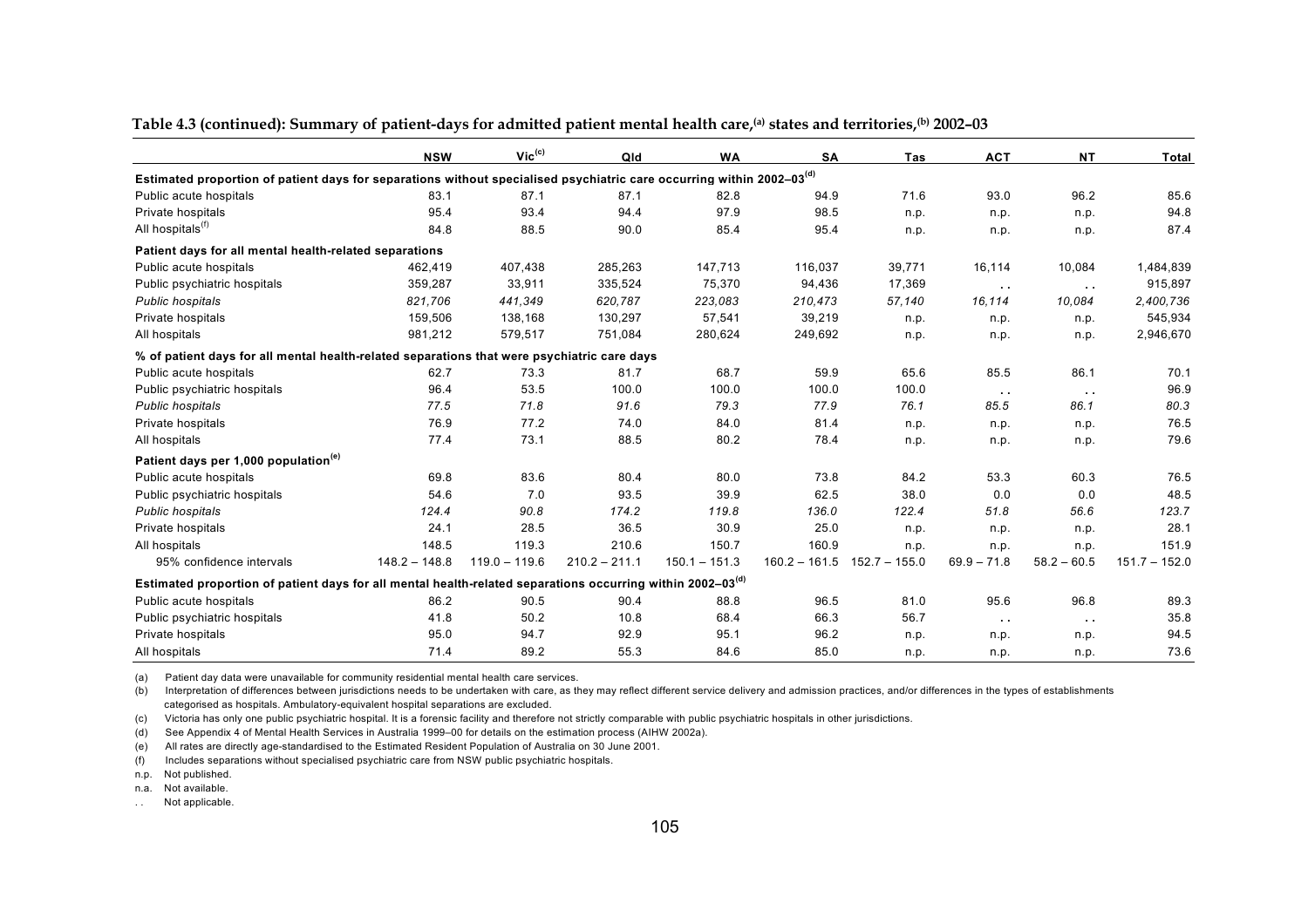|                                                                                                                                   | <b>NSW</b>      | $Vic^{(c)}$     | Qld             | <b>WA</b>       | <b>SA</b>       | Tas             | <b>ACT</b>    | <b>NT</b>     | <b>Total</b>    |
|-----------------------------------------------------------------------------------------------------------------------------------|-----------------|-----------------|-----------------|-----------------|-----------------|-----------------|---------------|---------------|-----------------|
| Estimated proportion of patient days for separations without specialised psychiatric care occurring within 2002-03 <sup>(d)</sup> |                 |                 |                 |                 |                 |                 |               |               |                 |
| Public acute hospitals                                                                                                            | 83.1            | 87.1            | 87.1            | 82.8            | 94.9            | 71.6            | 93.0          | 96.2          | 85.6            |
| Private hospitals                                                                                                                 | 95.4            | 93.4            | 94.4            | 97.9            | 98.5            | n.p.            | n.p.          | n.p.          | 94.8            |
| All hospitals <sup>(f)</sup>                                                                                                      | 84.8            | 88.5            | 90.0            | 85.4            | 95.4            | n.p.            | n.p.          | n.p.          | 87.4            |
| Patient days for all mental health-related separations                                                                            |                 |                 |                 |                 |                 |                 |               |               |                 |
| Public acute hospitals                                                                                                            | 462,419         | 407,438         | 285,263         | 147,713         | 116,037         | 39,771          | 16,114        | 10,084        | 1,484,839       |
| Public psychiatric hospitals                                                                                                      | 359,287         | 33,911          | 335,524         | 75,370          | 94,436          | 17,369          | $\sim$ $\sim$ | $\sim$ $\sim$ | 915,897         |
| <b>Public hospitals</b>                                                                                                           | 821,706         | 441,349         | 620,787         | 223.083         | 210.473         | 57,140          | 16,114        | 10.084        | 2,400,736       |
| Private hospitals                                                                                                                 | 159,506         | 138,168         | 130,297         | 57,541          | 39,219          | n.p.            | n.p.          | n.p.          | 545,934         |
| All hospitals                                                                                                                     | 981,212         | 579,517         | 751,084         | 280,624         | 249,692         | n.p.            | n.p.          | n.p.          | 2,946,670       |
| % of patient days for all mental health-related separations that were psychiatric care days                                       |                 |                 |                 |                 |                 |                 |               |               |                 |
| Public acute hospitals                                                                                                            | 62.7            | 73.3            | 81.7            | 68.7            | 59.9            | 65.6            | 85.5          | 86.1          | 70.1            |
| Public psychiatric hospitals                                                                                                      | 96.4            | 53.5            | 100.0           | 100.0           | 100.0           | 100.0           | $\sim$ $\sim$ | $\sim$ $\sim$ | 96.9            |
| <b>Public hospitals</b>                                                                                                           | 77.5            | 71.8            | 91.6            | 79.3            | 77.9            | 76.1            | 85.5          | 86.1          | 80.3            |
| Private hospitals                                                                                                                 | 76.9            | 77.2            | 74.0            | 84.0            | 81.4            | n.p.            | n.p.          | n.p.          | 76.5            |
| All hospitals                                                                                                                     | 77.4            | 73.1            | 88.5            | 80.2            | 78.4            | n.p.            | n.p.          | n.p.          | 79.6            |
| Patient days per 1,000 population <sup>(e)</sup>                                                                                  |                 |                 |                 |                 |                 |                 |               |               |                 |
| Public acute hospitals                                                                                                            | 69.8            | 83.6            | 80.4            | 80.0            | 73.8            | 84.2            | 53.3          | 60.3          | 76.5            |
| Public psychiatric hospitals                                                                                                      | 54.6            | 7.0             | 93.5            | 39.9            | 62.5            | 38.0            | 0.0           | 0.0           | 48.5            |
| Public hospitals                                                                                                                  | 124.4           | 90.8            | 174.2           | 119.8           | 136.0           | 122.4           | 51.8          | 56.6          | 123.7           |
| Private hospitals                                                                                                                 | 24.1            | 28.5            | 36.5            | 30.9            | 25.0            | n.p.            | n.p.          | n.p.          | 28.1            |
| All hospitals                                                                                                                     | 148.5           | 119.3           | 210.6           | 150.7           | 160.9           | n.p.            | n.p.          | n.p.          | 151.9           |
| 95% confidence intervals                                                                                                          | $148.2 - 148.8$ | $119.0 - 119.6$ | $210.2 - 211.1$ | $150.1 - 151.3$ | $160.2 - 161.5$ | $152.7 - 155.0$ | $69.9 - 71.8$ | $58.2 - 60.5$ | $151.7 - 152.0$ |
| Estimated proportion of patient days for all mental health-related separations occurring within 2002-03 <sup>(d)</sup>            |                 |                 |                 |                 |                 |                 |               |               |                 |
| Public acute hospitals                                                                                                            | 86.2            | 90.5            | 90.4            | 88.8            | 96.5            | 81.0            | 95.6          | 96.8          | 89.3            |
| Public psychiatric hospitals                                                                                                      | 41.8            | 50.2            | 10.8            | 68.4            | 66.3            | 56.7            | $\sim$ $\sim$ | $\sim$ $\sim$ | 35.8            |
| Private hospitals                                                                                                                 | 95.0            | 94.7            | 92.9            | 95.1            | 96.2            | n.p.            | n.p.          | n.p.          | 94.5            |
| All hospitals                                                                                                                     | 71.4            | 89.2            | 55.3            | 84.6            | 85.0            | n.p.            | n.p.          | n.p.          | 73.6            |

**Table 4.3 (continued): Summary of patient-days for admitted patient mental health care,(a) states and territories,(b) 2002–03** 

(a) Patient day data were unavailable for community residential mental health care services.

(b) Interpretation of differences between jurisdictions needs to be undertaken with care, as they may reflect different service delivery and admission practices, and/or differences in the types of establishments categorised as hospitals. Ambulatory-equivalent hospital separations are excluded.

(c) Victoria has only one public psychiatric hospital. It is a forensic facility and therefore not strictly comparable with public psychiatric hospitals in other jurisdictions.

(d) See Appendix 4 of Mental Health Services in Australia 1999–00 for details on the estimation process (AIHW 2002a).

(e) All rates are directly age-standardised to the Estimated Resident Population of Australia on 30 June 2001.

(f) Includes separations without specialised psychiatric care from NSW public psychiatric hospitals.

n.p. Not published.

n.a. Not available.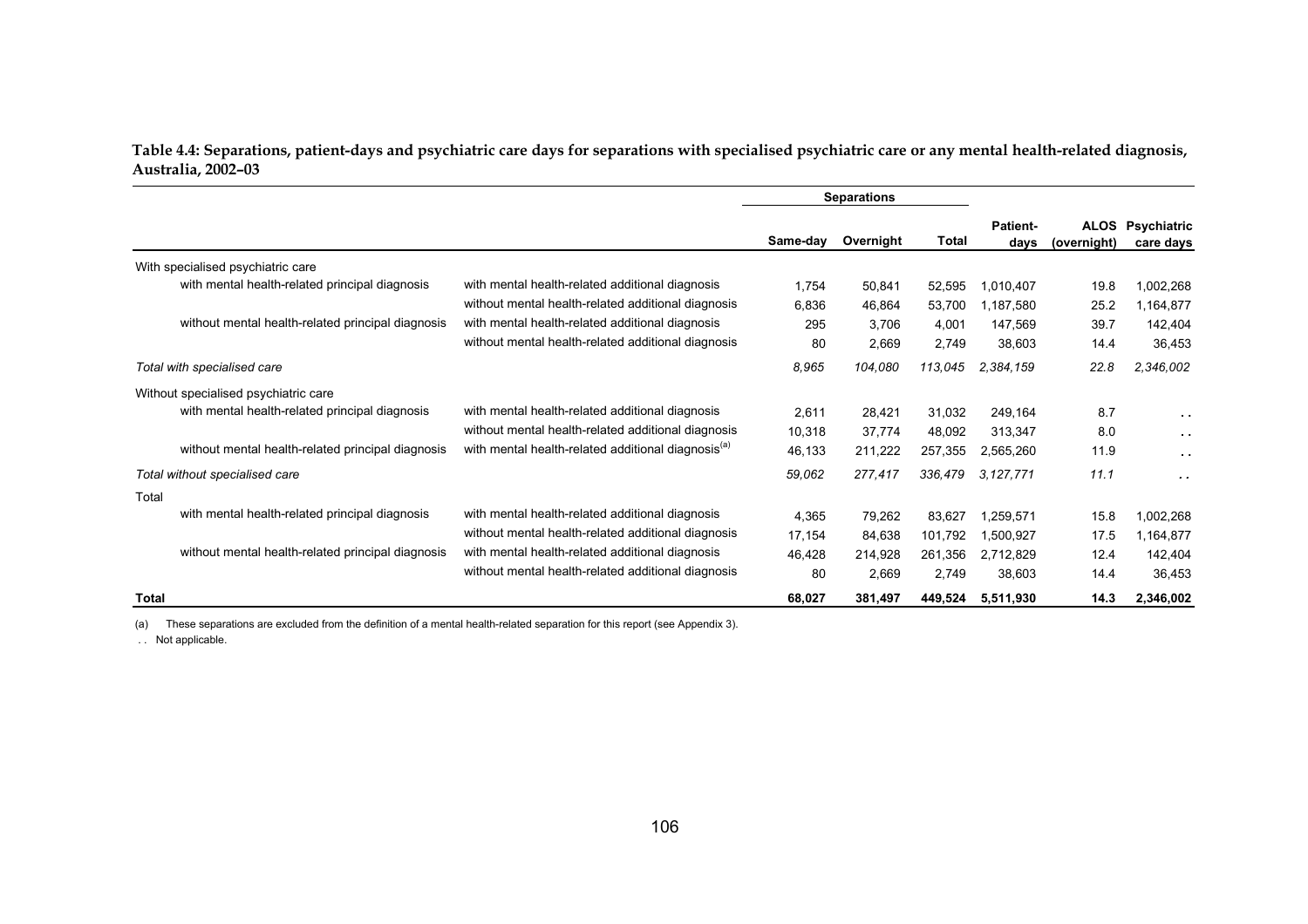**Table 4.4: Separations, patient-days and psychiatric care days for separations with specialised psychiatric care or any mental health-related diagnosis, Australia, 2002–03** 

|                                                   |                                                                |          | <b>Separations</b> |         |                         |             |                                      |
|---------------------------------------------------|----------------------------------------------------------------|----------|--------------------|---------|-------------------------|-------------|--------------------------------------|
|                                                   |                                                                | Same-dav | Overnight          | Total   | <b>Patient-</b><br>days | (overnight) | <b>ALOS Psychiatric</b><br>care days |
| With specialised psychiatric care                 |                                                                |          |                    |         |                         |             |                                      |
| with mental health-related principal diagnosis    | with mental health-related additional diagnosis                | 1.754    | 50,841             | 52,595  | 1,010,407               | 19.8        | 1,002,268                            |
|                                                   | without mental health-related additional diagnosis             | 6.836    | 46,864             | 53,700  | 1,187,580               | 25.2        | 1,164,877                            |
| without mental health-related principal diagnosis | with mental health-related additional diagnosis                | 295      | 3,706              | 4,001   | 147.569                 | 39.7        | 142,404                              |
|                                                   | without mental health-related additional diagnosis             | 80       | 2,669              | 2,749   | 38,603                  | 14.4        | 36,453                               |
| Total with specialised care                       |                                                                | 8,965    | 104,080            | 113,045 | 2,384,159               | 22.8        | 2,346,002                            |
| Without specialised psychiatric care              |                                                                |          |                    |         |                         |             |                                      |
| with mental health-related principal diagnosis    | with mental health-related additional diagnosis                | 2,611    | 28.421             | 31,032  | 249,164                 | 8.7         | $\sim$ $\sim$                        |
|                                                   | without mental health-related additional diagnosis             | 10,318   | 37,774             | 48,092  | 313,347                 | 8.0         | $\sim$ 10 $\pm$                      |
| without mental health-related principal diagnosis | with mental health-related additional diagnosis <sup>(a)</sup> | 46,133   | 211,222            | 257,355 | 2,565,260               | 11.9        | $\sim$ $\sim$                        |
| Total without specialised care                    |                                                                | 59,062   | 277.417            | 336.479 | 3.127.771               | 11.1        | $\cdot$ .                            |
| Total                                             |                                                                |          |                    |         |                         |             |                                      |
| with mental health-related principal diagnosis    | with mental health-related additional diagnosis                | 4.365    | 79,262             | 83,627  | 1.259.571               | 15.8        | 1,002,268                            |
|                                                   | without mental health-related additional diagnosis             | 17,154   | 84,638             | 101,792 | 1,500,927               | 17.5        | 1,164,877                            |
| without mental health-related principal diagnosis | with mental health-related additional diagnosis                | 46,428   | 214,928            | 261,356 | 2,712,829               | 12.4        | 142,404                              |
|                                                   | without mental health-related additional diagnosis             | 80       | 2,669              | 2,749   | 38,603                  | 14.4        | 36,453                               |
| Total                                             |                                                                | 68,027   | 381,497            | 449,524 | 5,511,930               | 14.3        | 2,346,002                            |

(a) These separations are excluded from the definition of a mental health-related separation for this report (see Appendix 3).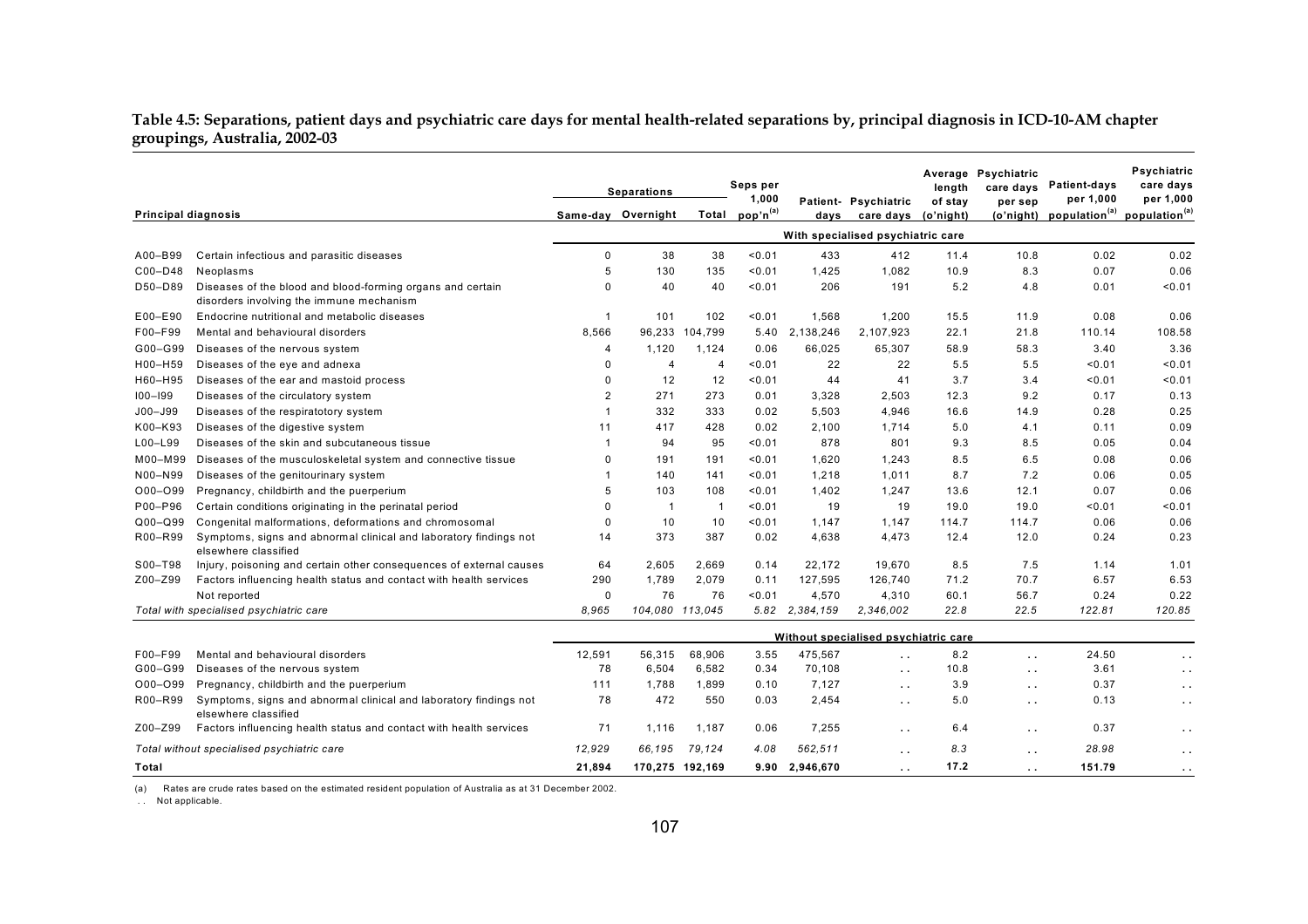**Table 4.5: Separations, patient days and psychiatric care days for mental health-related separations by, principal diagnosis in ICD-10-AM chapter groupings, Australia, 2002-03** 

|                                            |                                                                                                        | <b>Separations</b>                   |                    |                | Seps per<br>1,000    |                | Patient- Psychiatric | length<br>of stay | Average Psychiatric<br>care days<br>per sep | <b>Patient-days</b><br>per 1,000    | Psychiatric<br>care days<br>per 1,000 |
|--------------------------------------------|--------------------------------------------------------------------------------------------------------|--------------------------------------|--------------------|----------------|----------------------|----------------|----------------------|-------------------|---------------------------------------------|-------------------------------------|---------------------------------------|
| Principal diagnosis                        |                                                                                                        |                                      | Same-day Overnight | Total          | pop'n <sup>(a)</sup> | days           | care days            | (o'night)         |                                             | (o'night) population <sup>(a)</sup> | population <sup>(a)</sup>             |
|                                            |                                                                                                        | With specialised psychiatric care    |                    |                |                      |                |                      |                   |                                             |                                     |                                       |
| A00-B99                                    | Certain infectious and parasitic diseases                                                              | $\mathbf 0$                          | 38                 | 38             | < 0.01               | 433            | 412                  | 11.4              | 10.8                                        | 0.02                                | 0.02                                  |
| C00-D48                                    | Neoplasms                                                                                              | 5                                    | 130                | 135            | < 0.01               | 1,425          | 1,082                | 10.9              | 8.3                                         | 0.07                                | 0.06                                  |
| D50-D89                                    | Diseases of the blood and blood-forming organs and certain<br>disorders involving the immune mechanism | $\Omega$                             | 40                 | 40             | < 0.01               | 206            | 191                  | 5.2               | 4.8                                         | 0.01                                | 0.01                                  |
| E00-E90                                    | Endocrine nutritional and metabolic diseases                                                           | $\mathbf 1$                          | 101                | 102            | < 0.01               | 1,568          | 1,200                | 15.5              | 11.9                                        | 0.08                                | 0.06                                  |
| F00-F99                                    | Mental and behavioural disorders                                                                       | 8.566                                |                    | 96,233 104,799 |                      | 5.40 2,138,246 | 2,107,923            | 22.1              | 21.8                                        | 110.14                              | 108.58                                |
| G00-G99                                    | Diseases of the nervous system                                                                         | 4                                    | 1,120              | 1,124          | 0.06                 | 66,025         | 65,307               | 58.9              | 58.3                                        | 3.40                                | 3.36                                  |
| H00-H59                                    | Diseases of the eye and adnexa                                                                         | 0                                    | $\overline{4}$     | $\overline{4}$ | 0.01                 | 22             | 22                   | 5.5               | 5.5                                         | 0.01                                | 0.01                                  |
| H60-H95                                    | Diseases of the ear and mastoid process                                                                | 0                                    | 12                 | 12             | 0.01                 | 44             | 41                   | 3.7               | 3.4                                         | 0.01                                | 0.01                                  |
| $100 - 199$                                | Diseases of the circulatory system                                                                     | 2                                    | 271                | 273            | 0.01                 | 3,328          | 2,503                | 12.3              | 9.2                                         | 0.17                                | 0.13                                  |
| J00-J99                                    | Diseases of the respiratotory system                                                                   | $\mathbf{1}$                         | 332                | 333            | 0.02                 | 5,503          | 4,946                | 16.6              | 14.9                                        | 0.28                                | 0.25                                  |
| K00-K93                                    | Diseases of the digestive system                                                                       | 11                                   | 417                | 428            | 0.02                 | 2,100          | 1,714                | 5.0               | 4.1                                         | 0.11                                | 0.09                                  |
| L00-L99                                    | Diseases of the skin and subcutaneous tissue                                                           | $\mathbf{1}$                         | 94                 | 95             | 0.01                 | 878            | 801                  | 9.3               | 8.5                                         | 0.05                                | 0.04                                  |
| M00-M99                                    | Diseases of the musculoskeletal system and connective tissue                                           | $\Omega$                             | 191                | 191            | < 0.01               | 1,620          | 1.243                | 8.5               | 6.5                                         | 0.08                                | 0.06                                  |
| N00-N99                                    | Diseases of the genitourinary system                                                                   | $\mathbf 1$                          | 140                | 141            | 0.01                 | 1,218          | 1,011                | 8.7               | 7.2                                         | 0.06                                | 0.05                                  |
| O00-O99                                    | Pregnancy, childbirth and the puerperium                                                               | 5                                    | 103                | 108            | 0.01                 | 1,402          | 1,247                | 13.6              | 12.1                                        | 0.07                                | 0.06                                  |
| P00-P96                                    | Certain conditions originating in the perinatal period                                                 | 0                                    | $\overline{1}$     | $\overline{1}$ | 0.01                 | 19             | 19                   | 19.0              | 19.0                                        | 0.01                                | 0.01                                  |
| $Q00 - Q99$                                | Congenital malformations, deformations and chromosomal                                                 | 0                                    | 10                 | 10             | < 0.01               | 1.147          | 1.147                | 114.7             | 114.7                                       | 0.06                                | 0.06                                  |
| R00-R99                                    | Symptoms, signs and abnormal clinical and laboratory findings not<br>elsewhere classified              | 14                                   | 373                | 387            | 0.02                 | 4,638          | 4,473                | 12.4              | 12.0                                        | 0.24                                | 0.23                                  |
| S00-T98                                    | Injury, poisoning and certain other consequences of external causes                                    | 64                                   | 2,605              | 2,669          | 0.14                 | 22,172         | 19,670               | 8.5               | 7.5                                         | 1.14                                | 1.01                                  |
| Z00-Z99                                    | Factors influencing health status and contact with health services                                     | 290                                  | 1,789              | 2,079          | 0.11                 | 127,595        | 126,740              | 71.2              | 70.7                                        | 6.57                                | 6.53                                  |
|                                            | Not reported                                                                                           | 0                                    | 76                 | 76             | 0.01                 | 4,570          | 4,310                | 60.1              | 56.7                                        | 0.24                                | 0.22                                  |
|                                            | Total with specialised psychiatric care                                                                | 8.965                                | 104.080 113.045    |                |                      | 5.82 2,384,159 | 2.346.002            | 22.8              | 22.5                                        | 122.81                              | 120.85                                |
|                                            |                                                                                                        | Without specialised psychiatric care |                    |                |                      |                |                      |                   |                                             |                                     |                                       |
| F00-F99                                    | Mental and behavioural disorders                                                                       | 12,591                               | 56,315             | 68,906         | 3.55                 | 475,567        | $\ddot{\phantom{a}}$ | 8.2               | $\ddot{\phantom{a}}$                        | 24.50                               | $\ddot{\phantom{1}}$                  |
| G00-G99                                    | Diseases of the nervous system                                                                         | 78                                   | 6,504              | 6,582          | 0.34                 | 70,108         | $\sim$ $\sim$        | 10.8              | $\sim$ $\sim$                               | 3.61                                | $\sim$ $\sim$                         |
| O00-O99                                    | Pregnancy, childbirth and the puerperium                                                               | 111                                  | 1.788              | 1.899          | 0.10                 | 7,127          | $\sim$ $\sim$        | 3.9               | $\sim$ $\sim$                               | 0.37                                | $\sim$ $\sim$                         |
| R00-R99                                    | Symptoms, signs and abnormal clinical and laboratory findings not<br>elsewhere classified              | 78                                   | 472                | 550            | 0.03                 | 2,454          | $\ddot{\phantom{a}}$ | 5.0               | $\ddot{\phantom{a}}$                        | 0.13                                | $\ddot{\phantom{1}}$                  |
| Z00-Z99                                    | Factors influencing health status and contact with health services                                     | 71                                   | 1,116              | 1,187          | 0.06                 | 7.255          | $\sim$ $\sim$        | 6.4               | $\sim$ $\sim$                               | 0.37                                | $\sim$ $\sim$                         |
| Total without specialised psychiatric care |                                                                                                        | 12,929                               | 66,195             | 79,124         | 4.08                 | 562,511        | $\sim$               | 8.3               | $\sim$ $\sim$                               | 28.98                               | $\sim$ $\sim$                         |
| Total                                      |                                                                                                        | 21,894                               | 170,275 192,169    |                | 9.90                 | 2,946,670      | $\ddot{\phantom{1}}$ | 17.2              | $\ddot{\phantom{0}}$                        | 151.79                              | $\sim$ $\sim$                         |

(a) Rates are crude rates based on the estimated resident population of Australia as at 31 December 2002.